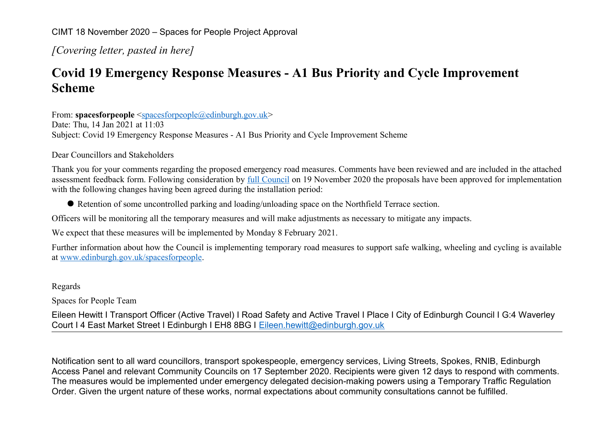CIMT 18 November 2020 – Spaces for People Project Approval

*[Covering letter, pasted in here]*

## **Covid 19 Emergency Response Measures - A1 Bus Priority and Cycle Improvement Scheme**

From: **spacesforpeople** [<spacesforpeople@edinburgh.gov.uk>](mailto:spacesforpeople@edinburgh.gov.uk) Date: Thu, 14 Jan 2021 at 11:03 Subject: Covid 19 Emergency Response Measures - A1 Bus Priority and Cycle Improvement Scheme

Dear Councillors and Stakeholders

Thank you for your comments regarding the proposed emergency road measures. Comments have been reviewed and are included in the attached assessment feedback form. Following consideration by [full Council](https://democracy.edinburgh.gov.uk/documents/s29005/Item%208.10%20-%20Spaces%20for%20People%20Update%20November%202020%20-%20referral%20from%20TE%20Committee.pdf) on 19 November 2020 the proposals have been approved for implementation with the following changes having been agreed during the installation period:

Retention of some uncontrolled parking and loading/unloading space on the Northfield Terrace section.

Officers will be monitoring all the temporary measures and will make adjustments as necessary to mitigate any impacts.

We expect that these measures will be implemented by Monday 8 February 2021.

Further information about how the Council is implementing temporary road measures to support safe walking, wheeling and cycling is available at [www.edinburgh.gov.uk/spacesforpeople.](http://www.edinburgh.gov.uk/spacesforpeople)

## Regards

Spaces for People Team

Eileen Hewitt I Transport Officer (Active Travel) I Road Safety and Active Travel I Place I City of Edinburgh Council I G:4 Waverley Court I 4 East Market Street I Edinburgh I EH8 8BG I [Eileen.hewitt@edinburgh.gov.uk](mailto:Eileen.hewitt@edinburgh.gov.uk)

Notification sent to all ward councillors, transport spokespeople, emergency services, Living Streets, Spokes, RNIB, Edinburgh Access Panel and relevant Community Councils on 17 September 2020. Recipients were given 12 days to respond with comments. The measures would be implemented under emergency delegated decision-making powers using a Temporary Traffic Regulation Order. Given the urgent nature of these works, normal expectations about community consultations cannot be fulfilled.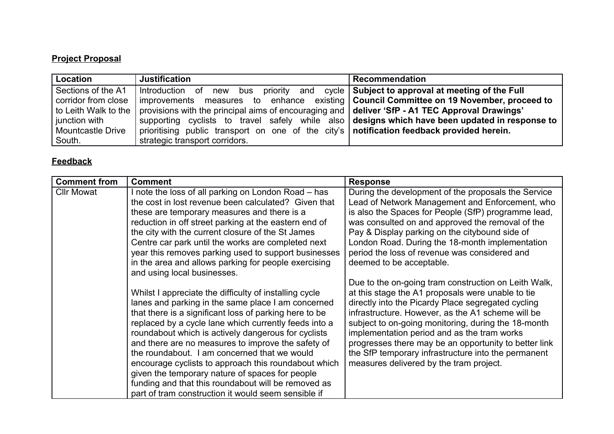## **Project Proposal**

| Location                 | <b>Justification</b>                                                                             | <b>Recommendation</b> |
|--------------------------|--------------------------------------------------------------------------------------------------|-----------------------|
| Sections of the A1       | Introduction of new bus priority and cycle Subject to approval at meeting of the Full            |                       |
| corridor from close      | improvements measures to enhance existing   Council Committee on 19 November, proceed to         |                       |
| to Leith Walk to the     | provisions with the principal aims of encouraging and   deliver 'SfP - A1 TEC Approval Drawings' |                       |
| junction with            | supporting cyclists to travel safely while also designs which have been updated in response to   |                       |
| <b>Mountcastle Drive</b> | prioritising public transport on one of the city's   notification feedback provided herein.      |                       |
| South.                   | strategic transport corridors.                                                                   |                       |

## **Feedback**

| <b>Comment from</b> | <b>Comment</b>                                                                                                                                                                                                                                                                                                                                                                                                                                                                                                                                                                                                        | <b>Response</b>                                                                                                                                                                                                                                                                                                                                                                                                                                                                       |
|---------------------|-----------------------------------------------------------------------------------------------------------------------------------------------------------------------------------------------------------------------------------------------------------------------------------------------------------------------------------------------------------------------------------------------------------------------------------------------------------------------------------------------------------------------------------------------------------------------------------------------------------------------|---------------------------------------------------------------------------------------------------------------------------------------------------------------------------------------------------------------------------------------------------------------------------------------------------------------------------------------------------------------------------------------------------------------------------------------------------------------------------------------|
| <b>Cllr Mowat</b>   | I note the loss of all parking on London Road – has<br>the cost in lost revenue been calculated? Given that<br>these are temporary measures and there is a<br>reduction in off street parking at the eastern end of<br>the city with the current closure of the St James<br>Centre car park until the works are completed next<br>year this removes parking used to support businesses<br>in the area and allows parking for people exercising<br>and using local businesses.                                                                                                                                         | During the development of the proposals the Service<br>Lead of Network Management and Enforcement, who<br>is also the Spaces for People (SfP) programme lead,<br>was consulted on and approved the removal of the<br>Pay & Display parking on the citybound side of<br>London Road. During the 18-month implementation<br>period the loss of revenue was considered and<br>deemed to be acceptable.                                                                                   |
|                     | Whilst I appreciate the difficulty of installing cycle<br>lanes and parking in the same place I am concerned<br>that there is a significant loss of parking here to be<br>replaced by a cycle lane which currently feeds into a<br>roundabout which is actively dangerous for cyclists<br>and there are no measures to improve the safety of<br>the roundabout. I am concerned that we would<br>encourage cyclists to approach this roundabout which<br>given the temporary nature of spaces for people<br>funding and that this roundabout will be removed as<br>part of tram construction it would seem sensible if | Due to the on-going tram construction on Leith Walk,<br>at this stage the A1 proposals were unable to tie<br>directly into the Picardy Place segregated cycling<br>infrastructure. However, as the A1 scheme will be<br>subject to on-going monitoring, during the 18-month<br>implementation period and as the tram works<br>progresses there may be an opportunity to better link<br>the SfP temporary infrastructure into the permanent<br>measures delivered by the tram project. |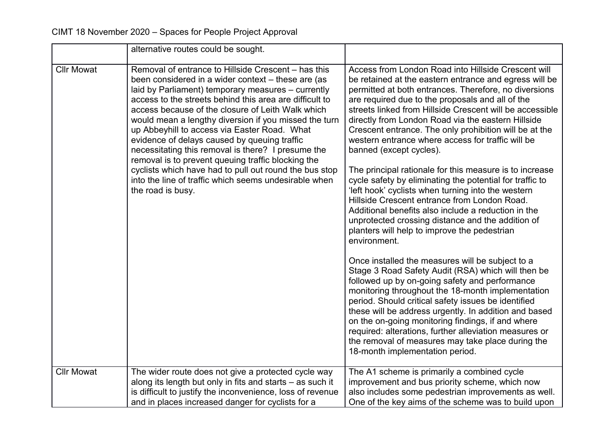|                   | alternative routes could be sought.                                                                                                                                                                                                                                                                                                                                                                                                                                                                                                                                                                                                                                                          |                                                                                                                                                                                                                                                                                                                                                                                                                                                                                                                                                                                                                                                                                                                                                                                                                                                                                                 |
|-------------------|----------------------------------------------------------------------------------------------------------------------------------------------------------------------------------------------------------------------------------------------------------------------------------------------------------------------------------------------------------------------------------------------------------------------------------------------------------------------------------------------------------------------------------------------------------------------------------------------------------------------------------------------------------------------------------------------|-------------------------------------------------------------------------------------------------------------------------------------------------------------------------------------------------------------------------------------------------------------------------------------------------------------------------------------------------------------------------------------------------------------------------------------------------------------------------------------------------------------------------------------------------------------------------------------------------------------------------------------------------------------------------------------------------------------------------------------------------------------------------------------------------------------------------------------------------------------------------------------------------|
| <b>Cllr Mowat</b> | Removal of entrance to Hillside Crescent - has this<br>been considered in a wider context – these are (as<br>laid by Parliament) temporary measures - currently<br>access to the streets behind this area are difficult to<br>access because of the closure of Leith Walk which<br>would mean a lengthy diversion if you missed the turn<br>up Abbeyhill to access via Easter Road. What<br>evidence of delays caused by queuing traffic<br>necessitating this removal is there? I presume the<br>removal is to prevent queuing traffic blocking the<br>cyclists which have had to pull out round the bus stop<br>into the line of traffic which seems undesirable when<br>the road is busy. | Access from London Road into Hillside Crescent will<br>be retained at the eastern entrance and egress will be<br>permitted at both entrances. Therefore, no diversions<br>are required due to the proposals and all of the<br>streets linked from Hillside Crescent will be accessible<br>directly from London Road via the eastern Hillside<br>Crescent entrance. The only prohibition will be at the<br>western entrance where access for traffic will be<br>banned (except cycles).<br>The principal rationale for this measure is to increase<br>cycle safety by eliminating the potential for traffic to<br>'left hook' cyclists when turning into the western<br>Hillside Crescent entrance from London Road.<br>Additional benefits also include a reduction in the<br>unprotected crossing distance and the addition of<br>planters will help to improve the pedestrian<br>environment. |
|                   |                                                                                                                                                                                                                                                                                                                                                                                                                                                                                                                                                                                                                                                                                              | Once installed the measures will be subject to a<br>Stage 3 Road Safety Audit (RSA) which will then be<br>followed up by on-going safety and performance<br>monitoring throughout the 18-month implementation<br>period. Should critical safety issues be identified<br>these will be address urgently. In addition and based<br>on the on-going monitoring findings, if and where<br>required: alterations, further alleviation measures or<br>the removal of measures may take place during the<br>18-month implementation period.                                                                                                                                                                                                                                                                                                                                                            |
| <b>Cllr Mowat</b> | The wider route does not give a protected cycle way<br>along its length but only in fits and starts – as such it<br>is difficult to justify the inconvenience, loss of revenue<br>and in places increased danger for cyclists for a                                                                                                                                                                                                                                                                                                                                                                                                                                                          | The A1 scheme is primarily a combined cycle<br>improvement and bus priority scheme, which now<br>also includes some pedestrian improvements as well.<br>One of the key aims of the scheme was to build upon                                                                                                                                                                                                                                                                                                                                                                                                                                                                                                                                                                                                                                                                                     |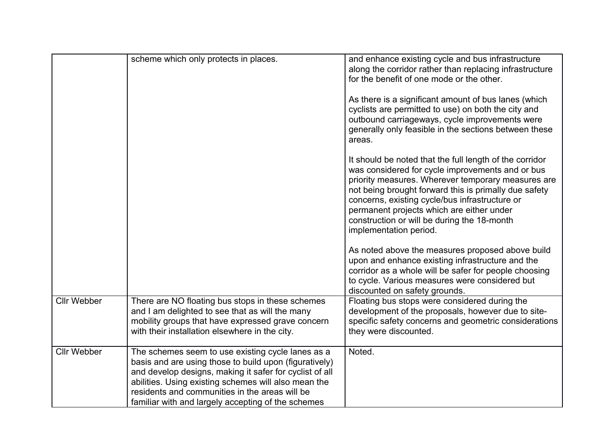|                    | scheme which only protects in places.                                                                                                                                                                                                                                                                                                  | and enhance existing cycle and bus infrastructure<br>along the corridor rather than replacing infrastructure<br>for the benefit of one mode or the other.                                                                                                                                                                                                                                          |
|--------------------|----------------------------------------------------------------------------------------------------------------------------------------------------------------------------------------------------------------------------------------------------------------------------------------------------------------------------------------|----------------------------------------------------------------------------------------------------------------------------------------------------------------------------------------------------------------------------------------------------------------------------------------------------------------------------------------------------------------------------------------------------|
|                    |                                                                                                                                                                                                                                                                                                                                        | As there is a significant amount of bus lanes (which<br>cyclists are permitted to use) on both the city and<br>outbound carriageways, cycle improvements were<br>generally only feasible in the sections between these<br>areas.                                                                                                                                                                   |
|                    |                                                                                                                                                                                                                                                                                                                                        | It should be noted that the full length of the corridor<br>was considered for cycle improvements and or bus<br>priority measures. Wherever temporary measures are<br>not being brought forward this is primally due safety<br>concerns, existing cycle/bus infrastructure or<br>permanent projects which are either under<br>construction or will be during the 18-month<br>implementation period. |
|                    |                                                                                                                                                                                                                                                                                                                                        | As noted above the measures proposed above build<br>upon and enhance existing infrastructure and the<br>corridor as a whole will be safer for people choosing<br>to cycle. Various measures were considered but<br>discounted on safety grounds.                                                                                                                                                   |
| <b>Cllr Webber</b> | There are NO floating bus stops in these schemes<br>and I am delighted to see that as will the many<br>mobility groups that have expressed grave concern<br>with their installation elsewhere in the city.                                                                                                                             | Floating bus stops were considered during the<br>development of the proposals, however due to site-<br>specific safety concerns and geometric considerations<br>they were discounted.                                                                                                                                                                                                              |
| <b>Cllr Webber</b> | The schemes seem to use existing cycle lanes as a<br>basis and are using those to build upon (figuratively)<br>and develop designs, making it safer for cyclist of all<br>abilities. Using existing schemes will also mean the<br>residents and communities in the areas will be<br>familiar with and largely accepting of the schemes | Noted.                                                                                                                                                                                                                                                                                                                                                                                             |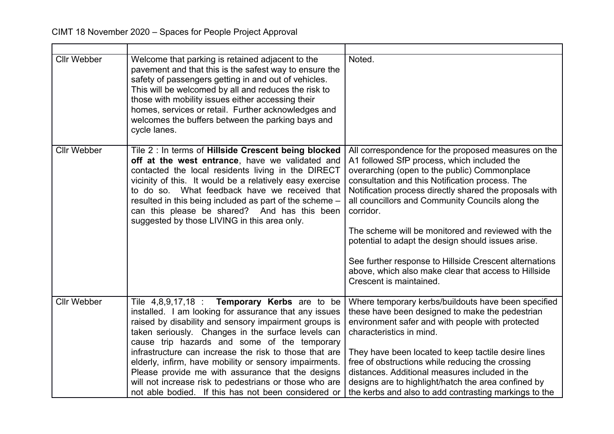| <b>Cllr Webber</b> | Welcome that parking is retained adjacent to the<br>pavement and that this is the safest way to ensure the<br>safety of passengers getting in and out of vehicles.<br>This will be welcomed by all and reduces the risk to<br>those with mobility issues either accessing their<br>homes, services or retail. Further acknowledges and<br>welcomes the buffers between the parking bays and<br>cycle lanes.                                                                                                                                                             | Noted.                                                                                                                                                                                                                                                                                                                                                                                                                                                                                                                                                                                     |
|--------------------|-------------------------------------------------------------------------------------------------------------------------------------------------------------------------------------------------------------------------------------------------------------------------------------------------------------------------------------------------------------------------------------------------------------------------------------------------------------------------------------------------------------------------------------------------------------------------|--------------------------------------------------------------------------------------------------------------------------------------------------------------------------------------------------------------------------------------------------------------------------------------------------------------------------------------------------------------------------------------------------------------------------------------------------------------------------------------------------------------------------------------------------------------------------------------------|
| <b>Cllr Webber</b> | Tile 2 : In terms of Hillside Crescent being blocked<br>off at the west entrance, have we validated and<br>contacted the local residents living in the DIRECT<br>vicinity of this. It would be a relatively easy exercise<br>to do so. What feedback have we received that<br>resulted in this being included as part of the scheme –<br>can this please be shared? And has this been<br>suggested by those LIVING in this area only.                                                                                                                                   | All correspondence for the proposed measures on the<br>A1 followed SfP process, which included the<br>overarching (open to the public) Commonplace<br>consultation and this Notification process. The<br>Notification process directly shared the proposals with<br>all councillors and Community Councils along the<br>corridor.<br>The scheme will be monitored and reviewed with the<br>potential to adapt the design should issues arise.<br>See further response to Hillside Crescent alternations<br>above, which also make clear that access to Hillside<br>Crescent is maintained. |
| <b>Cllr Webber</b> | Tile $4,8,9,17,18$ : <b>Temporary Kerbs</b> are to be<br>installed. I am looking for assurance that any issues<br>raised by disability and sensory impairment groups is<br>taken seriously. Changes in the surface levels can<br>cause trip hazards and some of the temporary<br>infrastructure can increase the risk to those that are<br>elderly, infirm, have mobility or sensory impairments.<br>Please provide me with assurance that the designs<br>will not increase risk to pedestrians or those who are<br>not able bodied. If this has not been considered or | Where temporary kerbs/buildouts have been specified<br>these have been designed to make the pedestrian<br>environment safer and with people with protected<br>characteristics in mind.<br>They have been located to keep tactile desire lines<br>free of obstructions while reducing the crossing<br>distances. Additional measures included in the<br>designs are to highlight/hatch the area confined by<br>the kerbs and also to add contrasting markings to the                                                                                                                        |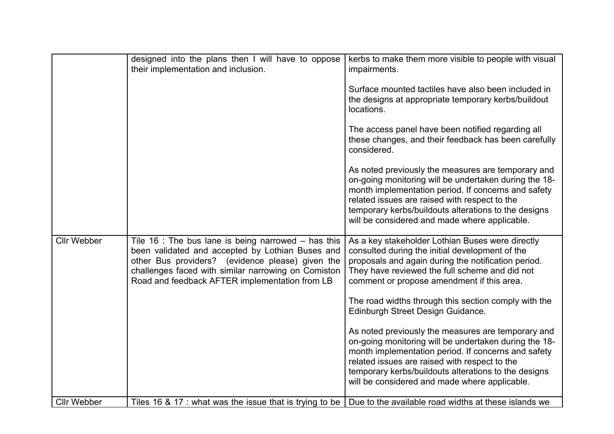|                    | designed into the plans then I will have to oppose<br>their implementation and inclusion.                                                                                                                                                                              | kerbs to make them more visible to people with visual<br>impairments.                                                                                                                                                                                                                                                        |
|--------------------|------------------------------------------------------------------------------------------------------------------------------------------------------------------------------------------------------------------------------------------------------------------------|------------------------------------------------------------------------------------------------------------------------------------------------------------------------------------------------------------------------------------------------------------------------------------------------------------------------------|
|                    |                                                                                                                                                                                                                                                                        | Surface mounted tactiles have also been included in<br>the designs at appropriate temporary kerbs/buildout<br>locations.                                                                                                                                                                                                     |
|                    |                                                                                                                                                                                                                                                                        | The access panel have been notified regarding all<br>these changes, and their feedback has been carefully<br>considered.                                                                                                                                                                                                     |
|                    |                                                                                                                                                                                                                                                                        | As noted previously the measures are temporary and<br>on-going monitoring will be undertaken during the 18-<br>month implementation period. If concerns and safety<br>related issues are raised with respect to the<br>temporary kerbs/buildouts alterations to the designs<br>will be considered and made where applicable. |
| <b>Cllr Webber</b> | Tile 16 : The bus lane is being narrowed $-$ has this<br>been validated and accepted by Lothian Buses and<br>other Bus providers? (evidence please) given the<br>challenges faced with similar narrowing on Comiston<br>Road and feedback AFTER implementation from LB | As a key stakeholder Lothian Buses were directly<br>consulted during the initial development of the<br>proposals and again during the notification period.<br>They have reviewed the full scheme and did not<br>comment or propose amendment if this area.                                                                   |
|                    |                                                                                                                                                                                                                                                                        | The road widths through this section comply with the<br>Edinburgh Street Design Guidance.                                                                                                                                                                                                                                    |
|                    |                                                                                                                                                                                                                                                                        | As noted previously the measures are temporary and<br>on-going monitoring will be undertaken during the 18-<br>month implementation period. If concerns and safety<br>related issues are raised with respect to the<br>temporary kerbs/buildouts alterations to the designs<br>will be considered and made where applicable. |
| <b>Cllr Webber</b> | Tiles 16 $\&$ 17 : what was the issue that is trying to be                                                                                                                                                                                                             | Due to the available road widths at these islands we                                                                                                                                                                                                                                                                         |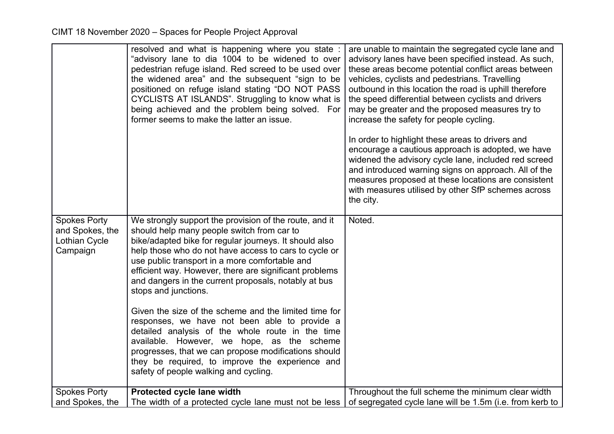|                                                                     | resolved and what is happening where you state :<br>"advisory lane to dia 1004 to be widened to over<br>pedestrian refuge island. Red screed to be used over<br>the widened area" and the subsequent "sign to be<br>positioned on refuge island stating "DO NOT PASS<br>CYCLISTS AT ISLANDS". Struggling to know what is<br>being achieved and the problem being solved. For<br>former seems to make the latter an issue.                                                    | are unable to maintain the segregated cycle lane and<br>advisory lanes have been specified instead. As such,<br>these areas become potential conflict areas between<br>vehicles, cyclists and pedestrians. Travelling<br>outbound in this location the road is uphill therefore<br>the speed differential between cyclists and drivers<br>may be greater and the proposed measures try to<br>increase the safety for people cycling. |
|---------------------------------------------------------------------|------------------------------------------------------------------------------------------------------------------------------------------------------------------------------------------------------------------------------------------------------------------------------------------------------------------------------------------------------------------------------------------------------------------------------------------------------------------------------|--------------------------------------------------------------------------------------------------------------------------------------------------------------------------------------------------------------------------------------------------------------------------------------------------------------------------------------------------------------------------------------------------------------------------------------|
|                                                                     |                                                                                                                                                                                                                                                                                                                                                                                                                                                                              | In order to highlight these areas to drivers and<br>encourage a cautious approach is adopted, we have<br>widened the advisory cycle lane, included red screed<br>and introduced warning signs on approach. All of the<br>measures proposed at these locations are consistent<br>with measures utilised by other SfP schemes across<br>the city.                                                                                      |
| <b>Spokes Porty</b><br>and Spokes, the<br>Lothian Cycle<br>Campaign | We strongly support the provision of the route, and it<br>should help many people switch from car to<br>bike/adapted bike for regular journeys. It should also<br>help those who do not have access to cars to cycle or<br>use public transport in a more comfortable and<br>efficient way. However, there are significant problems<br>and dangers in the current proposals, notably at bus<br>stops and junctions.<br>Given the size of the scheme and the limited time for | Noted.                                                                                                                                                                                                                                                                                                                                                                                                                               |
|                                                                     | responses, we have not been able to provide a<br>detailed analysis of the whole route in the time<br>available. However, we hope, as the scheme<br>progresses, that we can propose modifications should<br>they be required, to improve the experience and<br>safety of people walking and cycling.                                                                                                                                                                          |                                                                                                                                                                                                                                                                                                                                                                                                                                      |
| <b>Spokes Porty</b>                                                 | Protected cycle lane width                                                                                                                                                                                                                                                                                                                                                                                                                                                   | Throughout the full scheme the minimum clear width                                                                                                                                                                                                                                                                                                                                                                                   |
| and Spokes, the                                                     | The width of a protected cycle lane must not be less                                                                                                                                                                                                                                                                                                                                                                                                                         | of segregated cycle lane will be 1.5m (i.e. from kerb to                                                                                                                                                                                                                                                                                                                                                                             |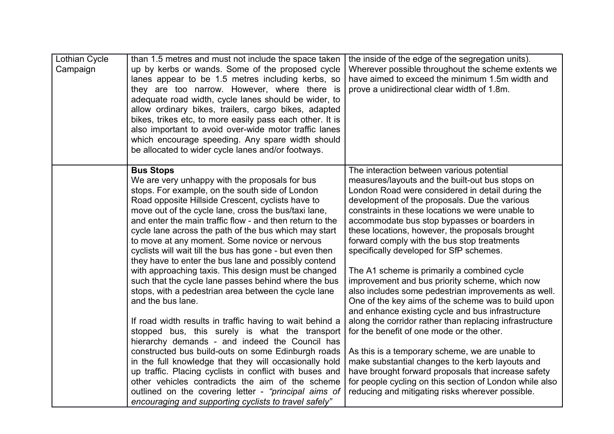| Lothian Cycle<br>Campaign | than 1.5 metres and must not include the space taken<br>up by kerbs or wands. Some of the proposed cycle<br>lanes appear to be 1.5 metres including kerbs, so<br>they are too narrow. However, where there is<br>adequate road width, cycle lanes should be wider, to<br>allow ordinary bikes, trailers, cargo bikes, adapted<br>bikes, trikes etc, to more easily pass each other. It is<br>also important to avoid over-wide motor traffic lanes<br>which encourage speeding. Any spare width should<br>be allocated to wider cycle lanes and/or footways.                                                                                                                                                                                                                                                                                                                                                                                                                                                                                                                                                                                                                                                                             | the inside of the edge of the segregation units).<br>Wherever possible throughout the scheme extents we<br>have aimed to exceed the minimum 1.5m width and<br>prove a unidirectional clear width of 1.8m.                                                                                                                                                                                                                                                                                                                                                                                                                                                                                                                                                                                                                                                                                                                                                                                                                                                                                                   |
|---------------------------|------------------------------------------------------------------------------------------------------------------------------------------------------------------------------------------------------------------------------------------------------------------------------------------------------------------------------------------------------------------------------------------------------------------------------------------------------------------------------------------------------------------------------------------------------------------------------------------------------------------------------------------------------------------------------------------------------------------------------------------------------------------------------------------------------------------------------------------------------------------------------------------------------------------------------------------------------------------------------------------------------------------------------------------------------------------------------------------------------------------------------------------------------------------------------------------------------------------------------------------|-------------------------------------------------------------------------------------------------------------------------------------------------------------------------------------------------------------------------------------------------------------------------------------------------------------------------------------------------------------------------------------------------------------------------------------------------------------------------------------------------------------------------------------------------------------------------------------------------------------------------------------------------------------------------------------------------------------------------------------------------------------------------------------------------------------------------------------------------------------------------------------------------------------------------------------------------------------------------------------------------------------------------------------------------------------------------------------------------------------|
|                           | <b>Bus Stops</b><br>We are very unhappy with the proposals for bus<br>stops. For example, on the south side of London<br>Road opposite Hillside Crescent, cyclists have to<br>move out of the cycle lane, cross the bus/taxi lane,<br>and enter the main traffic flow - and then return to the<br>cycle lane across the path of the bus which may start<br>to move at any moment. Some novice or nervous<br>cyclists will wait till the bus has gone - but even then<br>they have to enter the bus lane and possibly contend<br>with approaching taxis. This design must be changed<br>such that the cycle lane passes behind where the bus<br>stops, with a pedestrian area between the cycle lane<br>and the bus lane.<br>If road width results in traffic having to wait behind a<br>stopped bus, this surely is what the transport<br>hierarchy demands - and indeed the Council has<br>constructed bus build-outs on some Edinburgh roads<br>in the full knowledge that they will occasionally hold<br>up traffic. Placing cyclists in conflict with buses and<br>other vehicles contradicts the aim of the scheme<br>outlined on the covering letter - "principal aims of<br>encouraging and supporting cyclists to travel safely" | The interaction between various potential<br>measures/layouts and the built-out bus stops on<br>London Road were considered in detail during the<br>development of the proposals. Due the various<br>constraints in these locations we were unable to<br>accommodate bus stop bypasses or boarders in<br>these locations, however, the proposals brought<br>forward comply with the bus stop treatments<br>specifically developed for SfP schemes.<br>The A1 scheme is primarily a combined cycle<br>improvement and bus priority scheme, which now<br>also includes some pedestrian improvements as well.<br>One of the key aims of the scheme was to build upon<br>and enhance existing cycle and bus infrastructure<br>along the corridor rather than replacing infrastructure<br>for the benefit of one mode or the other.<br>As this is a temporary scheme, we are unable to<br>make substantial changes to the kerb layouts and<br>have brought forward proposals that increase safety<br>for people cycling on this section of London while also<br>reducing and mitigating risks wherever possible. |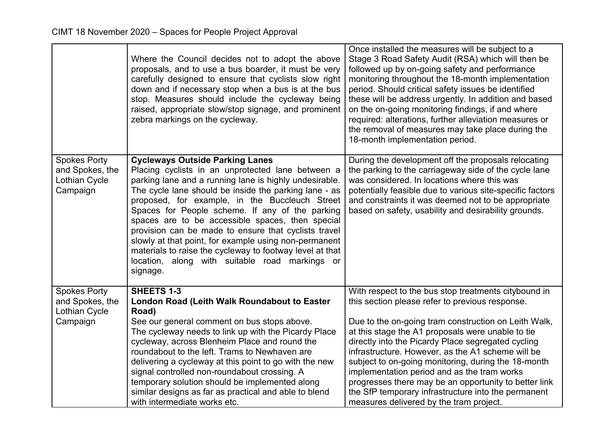|                                                                            | Where the Council decides not to adopt the above<br>proposals, and to use a bus boarder, it must be very<br>carefully designed to ensure that cyclists slow right<br>down and if necessary stop when a bus is at the bus<br>stop. Measures should include the cycleway being<br>raised, appropriate slow/stop signage, and prominent<br>zebra markings on the cycleway.                                                                                                                                                                                                                                            | Once installed the measures will be subject to a<br>Stage 3 Road Safety Audit (RSA) which will then be<br>followed up by on-going safety and performance<br>monitoring throughout the 18-month implementation<br>period. Should critical safety issues be identified<br>these will be address urgently. In addition and based<br>on the on-going monitoring findings, if and where<br>required: alterations, further alleviation measures or<br>the removal of measures may take place during the<br>18-month implementation period.                                                             |
|----------------------------------------------------------------------------|--------------------------------------------------------------------------------------------------------------------------------------------------------------------------------------------------------------------------------------------------------------------------------------------------------------------------------------------------------------------------------------------------------------------------------------------------------------------------------------------------------------------------------------------------------------------------------------------------------------------|--------------------------------------------------------------------------------------------------------------------------------------------------------------------------------------------------------------------------------------------------------------------------------------------------------------------------------------------------------------------------------------------------------------------------------------------------------------------------------------------------------------------------------------------------------------------------------------------------|
| <b>Spokes Porty</b><br>and Spokes, the<br><b>Lothian Cycle</b><br>Campaign | <b>Cycleways Outside Parking Lanes</b><br>Placing cyclists in an unprotected lane between a<br>parking lane and a running lane is highly undesirable.<br>The cycle lane should be inside the parking lane - as<br>proposed, for example, in the Buccleuch Street<br>Spaces for People scheme. If any of the parking<br>spaces are to be accessible spaces, then special<br>provision can be made to ensure that cyclists travel<br>slowly at that point, for example using non-permanent<br>materials to raise the cycleway to footway level at that<br>location, along with suitable road markings or<br>signage. | During the development off the proposals relocating<br>the parking to the carriageway side of the cycle lane<br>was considered. In locations where this was<br>potentially feasible due to various site-specific factors<br>and constraints it was deemed not to be appropriate<br>based on safety, usability and desirability grounds.                                                                                                                                                                                                                                                          |
| <b>Spokes Porty</b><br>and Spokes, the<br><b>Lothian Cycle</b><br>Campaign | <b>SHEETS 1-3</b><br>London Road (Leith Walk Roundabout to Easter<br>Road)<br>See our general comment on bus stops above.<br>The cycleway needs to link up with the Picardy Place<br>cycleway, across Blenheim Place and round the<br>roundabout to the left. Trams to Newhaven are<br>delivering a cycleway at this point to go with the new<br>signal controlled non-roundabout crossing. A<br>temporary solution should be implemented along<br>similar designs as far as practical and able to blend<br>with intermediate works etc.                                                                           | With respect to the bus stop treatments citybound in<br>this section please refer to previous response.<br>Due to the on-going tram construction on Leith Walk,<br>at this stage the A1 proposals were unable to tie<br>directly into the Picardy Place segregated cycling<br>infrastructure. However, as the A1 scheme will be<br>subject to on-going monitoring, during the 18-month<br>implementation period and as the tram works<br>progresses there may be an opportunity to better link<br>the SfP temporary infrastructure into the permanent<br>measures delivered by the tram project. |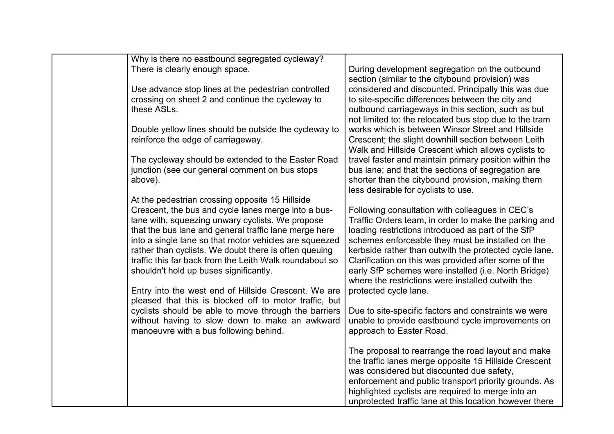| During development segregation on the outbound<br>section (similar to the citybound provision) was<br>considered and discounted. Principally this was due<br>to site-specific differences between the city and<br>outbound carriageways in this section, such as but |
|----------------------------------------------------------------------------------------------------------------------------------------------------------------------------------------------------------------------------------------------------------------------|
|                                                                                                                                                                                                                                                                      |
|                                                                                                                                                                                                                                                                      |
|                                                                                                                                                                                                                                                                      |
|                                                                                                                                                                                                                                                                      |
|                                                                                                                                                                                                                                                                      |
| not limited to: the relocated bus stop due to the tram<br>works which is between Winsor Street and Hillside                                                                                                                                                          |
| Crescent; the slight downhill section between Leith                                                                                                                                                                                                                  |
| Walk and Hillside Crescent which allows cyclists to                                                                                                                                                                                                                  |
| travel faster and maintain primary position within the                                                                                                                                                                                                               |
| bus lane; and that the sections of segregation are                                                                                                                                                                                                                   |
| shorter than the citybound provision, making them                                                                                                                                                                                                                    |
|                                                                                                                                                                                                                                                                      |
|                                                                                                                                                                                                                                                                      |
| Following consultation with colleagues in CEC's                                                                                                                                                                                                                      |
| Traffic Orders team, in order to make the parking and                                                                                                                                                                                                                |
| loading restrictions introduced as part of the SfP                                                                                                                                                                                                                   |
| schemes enforceable they must be installed on the                                                                                                                                                                                                                    |
| kerbside rather than outwith the protected cycle lane.<br>Clarification on this was provided after some of the                                                                                                                                                       |
| early SfP schemes were installed (i.e. North Bridge)                                                                                                                                                                                                                 |
| where the restrictions were installed outwith the                                                                                                                                                                                                                    |
|                                                                                                                                                                                                                                                                      |
|                                                                                                                                                                                                                                                                      |
| Due to site-specific factors and constraints we were                                                                                                                                                                                                                 |
| unable to provide eastbound cycle improvements on                                                                                                                                                                                                                    |
|                                                                                                                                                                                                                                                                      |
|                                                                                                                                                                                                                                                                      |
| The proposal to rearrange the road layout and make                                                                                                                                                                                                                   |
| the traffic lanes merge opposite 15 Hillside Crescent                                                                                                                                                                                                                |
| was considered but discounted due safety,<br>enforcement and public transport priority grounds. As                                                                                                                                                                   |
| highlighted cyclists are required to merge into an                                                                                                                                                                                                                   |
| unprotected traffic lane at this location however there                                                                                                                                                                                                              |
|                                                                                                                                                                                                                                                                      |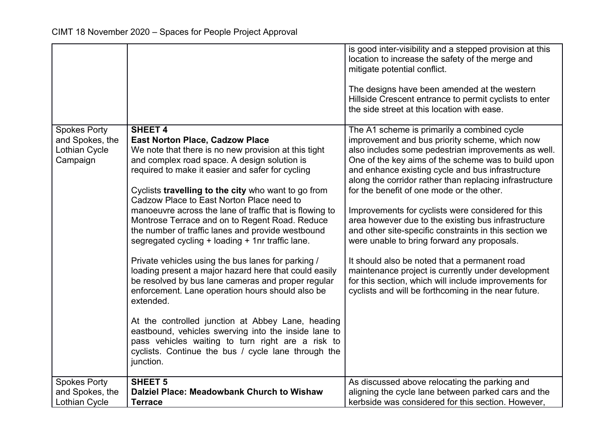|                                        |                                                                                                                                                                                                                                    | is good inter-visibility and a stepped provision at this<br>location to increase the safety of the merge and<br>mitigate potential conflict.<br>The designs have been amended at the western<br>Hillside Crescent entrance to permit cyclists to enter<br>the side street at this location with ease. |
|----------------------------------------|------------------------------------------------------------------------------------------------------------------------------------------------------------------------------------------------------------------------------------|-------------------------------------------------------------------------------------------------------------------------------------------------------------------------------------------------------------------------------------------------------------------------------------------------------|
| <b>Spokes Porty</b><br>and Spokes, the | <b>SHEET 4</b><br><b>East Norton Place, Cadzow Place</b>                                                                                                                                                                           | The A1 scheme is primarily a combined cycle<br>improvement and bus priority scheme, which now                                                                                                                                                                                                         |
| Lothian Cycle                          | We note that there is no new provision at this tight                                                                                                                                                                               | also includes some pedestrian improvements as well.                                                                                                                                                                                                                                                   |
| Campaign                               | and complex road space. A design solution is<br>required to make it easier and safer for cycling                                                                                                                                   | One of the key aims of the scheme was to build upon<br>and enhance existing cycle and bus infrastructure<br>along the corridor rather than replacing infrastructure                                                                                                                                   |
|                                        | Cyclists travelling to the city who want to go from                                                                                                                                                                                | for the benefit of one mode or the other.                                                                                                                                                                                                                                                             |
|                                        | Cadzow Place to East Norton Place need to<br>manoeuvre across the lane of traffic that is flowing to                                                                                                                               | Improvements for cyclists were considered for this                                                                                                                                                                                                                                                    |
|                                        | Montrose Terrace and on to Regent Road. Reduce<br>the number of traffic lanes and provide westbound                                                                                                                                | area however due to the existing bus infrastructure<br>and other site-specific constraints in this section we                                                                                                                                                                                         |
|                                        | segregated cycling + loading + 1nr traffic lane.                                                                                                                                                                                   | were unable to bring forward any proposals.                                                                                                                                                                                                                                                           |
|                                        | Private vehicles using the bus lanes for parking /<br>loading present a major hazard here that could easily<br>be resolved by bus lane cameras and proper regular<br>enforcement. Lane operation hours should also be<br>extended. | It should also be noted that a permanent road<br>maintenance project is currently under development<br>for this section, which will include improvements for<br>cyclists and will be forthcoming in the near future.                                                                                  |
|                                        | At the controlled junction at Abbey Lane, heading<br>eastbound, vehicles swerving into the inside lane to<br>pass vehicles waiting to turn right are a risk to<br>cyclists. Continue the bus / cycle lane through the              |                                                                                                                                                                                                                                                                                                       |
|                                        | junction.                                                                                                                                                                                                                          |                                                                                                                                                                                                                                                                                                       |
| <b>Spokes Porty</b>                    | <b>SHEET 5</b>                                                                                                                                                                                                                     | As discussed above relocating the parking and                                                                                                                                                                                                                                                         |
| and Spokes, the                        | Dalziel Place: Meadowbank Church to Wishaw                                                                                                                                                                                         | aligning the cycle lane between parked cars and the                                                                                                                                                                                                                                                   |
| <b>Lothian Cycle</b>                   | <b>Terrace</b>                                                                                                                                                                                                                     | kerbside was considered for this section. However,                                                                                                                                                                                                                                                    |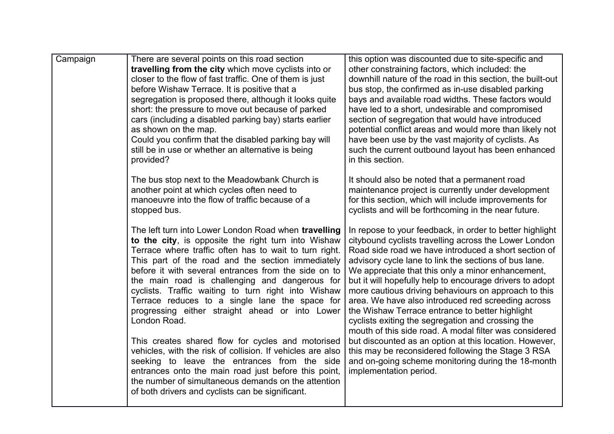| Campaign | There are several points on this road section                   | this option was discounted due to site-specific and                                                  |
|----------|-----------------------------------------------------------------|------------------------------------------------------------------------------------------------------|
|          | travelling from the city which move cyclists into or            | other constraining factors, which included: the                                                      |
|          | closer to the flow of fast traffic. One of them is just         | downhill nature of the road in this section, the built-out                                           |
|          | before Wishaw Terrace. It is positive that a                    | bus stop, the confirmed as in-use disabled parking                                                   |
|          | segregation is proposed there, although it looks quite          | bays and available road widths. These factors would                                                  |
|          | short: the pressure to move out because of parked               | have led to a short, undesirable and compromised                                                     |
|          | cars (including a disabled parking bay) starts earlier          | section of segregation that would have introduced                                                    |
|          | as shown on the map.                                            | potential conflict areas and would more than likely not                                              |
|          | Could you confirm that the disabled parking bay will            | have been use by the vast majority of cyclists. As                                                   |
|          | still be in use or whether an alternative is being              | such the current outbound layout has been enhanced                                                   |
|          | provided?                                                       | in this section.                                                                                     |
|          | The bus stop next to the Meadowbank Church is                   | It should also be noted that a permanent road                                                        |
|          | another point at which cycles often need to                     | maintenance project is currently under development                                                   |
|          | manoeuvre into the flow of traffic because of a                 | for this section, which will include improvements for                                                |
|          | stopped bus.                                                    | cyclists and will be forthcoming in the near future.                                                 |
|          | The left turn into Lower London Road when travelling            | In repose to your feedback, in order to better highlight                                             |
|          | to the city, is opposite the right turn into Wishaw             | citybound cyclists travelling across the Lower London                                                |
|          | Terrace where traffic often has to wait to turn right.          | Road side road we have introduced a short section of                                                 |
|          | This part of the road and the section immediately               | advisory cycle lane to link the sections of bus lane.                                                |
|          | before it with several entrances from the side on to            | We appreciate that this only a minor enhancement,                                                    |
|          | the main road is challenging and dangerous for                  | but it will hopefully help to encourage drivers to adopt                                             |
|          | cyclists. Traffic waiting to turn right into Wishaw             | more cautious driving behaviours on approach to this                                                 |
|          | Terrace reduces to a single lane the space for                  | area. We have also introduced red screeding across                                                   |
|          | progressing either straight ahead or into Lower<br>London Road. | the Wishaw Terrace entrance to better highlight<br>cyclists exiting the segregation and crossing the |
|          |                                                                 | mouth of this side road. A modal filter was considered                                               |
|          | This creates shared flow for cycles and motorised               | but discounted as an option at this location. However,                                               |
|          | vehicles, with the risk of collision. If vehicles are also      | this may be reconsidered following the Stage 3 RSA                                                   |
|          | seeking to leave the entrances from the side                    | and on-going scheme monitoring during the 18-month                                                   |
|          | entrances onto the main road just before this point,            | implementation period.                                                                               |
|          | the number of simultaneous demands on the attention             |                                                                                                      |
|          | of both drivers and cyclists can be significant.                |                                                                                                      |
|          |                                                                 |                                                                                                      |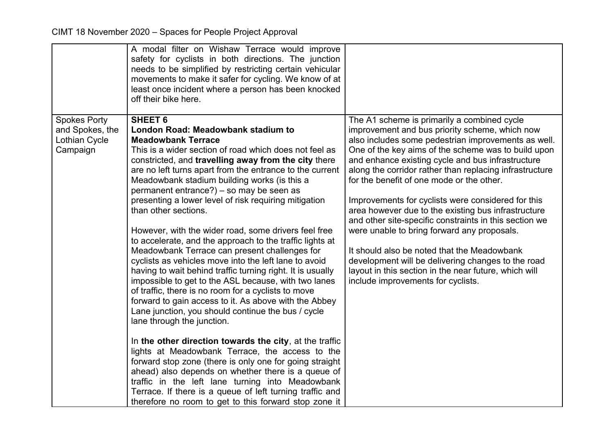|                                                                     | A modal filter on Wishaw Terrace would improve<br>safety for cyclists in both directions. The junction<br>needs to be simplified by restricting certain vehicular<br>movements to make it safer for cycling. We know of at<br>least once incident where a person has been knocked<br>off their bike here.                                                                                                                                                                                                                                                                                                                                                                                                                                                                                                                                                                                                                                                                                                                                                                                                                                                                                                                                                                                                                                                                                                    |                                                                                                                                                                                                                                                                                                                                                                                                                                                                                                                                                                                                                                                                                                                                                                                                    |
|---------------------------------------------------------------------|--------------------------------------------------------------------------------------------------------------------------------------------------------------------------------------------------------------------------------------------------------------------------------------------------------------------------------------------------------------------------------------------------------------------------------------------------------------------------------------------------------------------------------------------------------------------------------------------------------------------------------------------------------------------------------------------------------------------------------------------------------------------------------------------------------------------------------------------------------------------------------------------------------------------------------------------------------------------------------------------------------------------------------------------------------------------------------------------------------------------------------------------------------------------------------------------------------------------------------------------------------------------------------------------------------------------------------------------------------------------------------------------------------------|----------------------------------------------------------------------------------------------------------------------------------------------------------------------------------------------------------------------------------------------------------------------------------------------------------------------------------------------------------------------------------------------------------------------------------------------------------------------------------------------------------------------------------------------------------------------------------------------------------------------------------------------------------------------------------------------------------------------------------------------------------------------------------------------------|
| <b>Spokes Porty</b><br>and Spokes, the<br>Lothian Cycle<br>Campaign | <b>SHEET 6</b><br>London Road: Meadowbank stadium to<br><b>Meadowbank Terrace</b><br>This is a wider section of road which does not feel as<br>constricted, and travelling away from the city there<br>are no left turns apart from the entrance to the current<br>Meadowbank stadium building works (is this a<br>permanent entrance?) – so may be seen as<br>presenting a lower level of risk requiring mitigation<br>than other sections.<br>However, with the wider road, some drivers feel free<br>to accelerate, and the approach to the traffic lights at<br>Meadowbank Terrace can present challenges for<br>cyclists as vehicles move into the left lane to avoid<br>having to wait behind traffic turning right. It is usually<br>impossible to get to the ASL because, with two lanes<br>of traffic, there is no room for a cyclists to move<br>forward to gain access to it. As above with the Abbey<br>Lane junction, you should continue the bus / cycle<br>lane through the junction.<br>In the other direction towards the city, at the traffic<br>lights at Meadowbank Terrace, the access to the<br>forward stop zone (there is only one for going straight<br>ahead) also depends on whether there is a queue of<br>traffic in the left lane turning into Meadowbank<br>Terrace. If there is a queue of left turning traffic and<br>therefore no room to get to this forward stop zone it | The A1 scheme is primarily a combined cycle<br>improvement and bus priority scheme, which now<br>also includes some pedestrian improvements as well.<br>One of the key aims of the scheme was to build upon<br>and enhance existing cycle and bus infrastructure<br>along the corridor rather than replacing infrastructure<br>for the benefit of one mode or the other.<br>Improvements for cyclists were considered for this<br>area however due to the existing bus infrastructure<br>and other site-specific constraints in this section we<br>were unable to bring forward any proposals.<br>It should also be noted that the Meadowbank<br>development will be delivering changes to the road<br>layout in this section in the near future, which will<br>include improvements for cyclists. |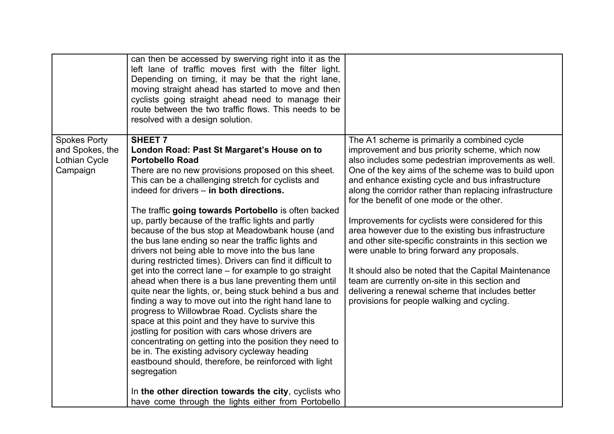|                                                                     | can then be accessed by swerving right into it as the<br>left lane of traffic moves first with the filter light.<br>Depending on timing, it may be that the right lane,<br>moving straight ahead has started to move and then<br>cyclists going straight ahead need to manage their<br>route between the two traffic flows. This needs to be<br>resolved with a design solution.                                                                                                                                                                                                                                                                                                                                                                                                                                                                                                                                                                                                                                                                                                                                                                                    |                                                                                                                                                                                                                                                                                                                                                                                                                                                                                                                                                                                                                                                                                                                                                                                                            |
|---------------------------------------------------------------------|---------------------------------------------------------------------------------------------------------------------------------------------------------------------------------------------------------------------------------------------------------------------------------------------------------------------------------------------------------------------------------------------------------------------------------------------------------------------------------------------------------------------------------------------------------------------------------------------------------------------------------------------------------------------------------------------------------------------------------------------------------------------------------------------------------------------------------------------------------------------------------------------------------------------------------------------------------------------------------------------------------------------------------------------------------------------------------------------------------------------------------------------------------------------|------------------------------------------------------------------------------------------------------------------------------------------------------------------------------------------------------------------------------------------------------------------------------------------------------------------------------------------------------------------------------------------------------------------------------------------------------------------------------------------------------------------------------------------------------------------------------------------------------------------------------------------------------------------------------------------------------------------------------------------------------------------------------------------------------------|
| <b>Spokes Porty</b><br>and Spokes, the<br>Lothian Cycle<br>Campaign | <b>SHEET 7</b><br>London Road: Past St Margaret's House on to<br><b>Portobello Road</b><br>There are no new provisions proposed on this sheet.<br>This can be a challenging stretch for cyclists and<br>indeed for drivers - in both directions.<br>The traffic going towards Portobello is often backed<br>up, partly because of the traffic lights and partly<br>because of the bus stop at Meadowbank house (and<br>the bus lane ending so near the traffic lights and<br>drivers not being able to move into the bus lane<br>during restricted times). Drivers can find it difficult to<br>get into the correct lane – for example to go straight<br>ahead when there is a bus lane preventing them until<br>quite near the lights, or, being stuck behind a bus and<br>finding a way to move out into the right hand lane to<br>progress to Willowbrae Road. Cyclists share the<br>space at this point and they have to survive this<br>jostling for position with cars whose drivers are<br>concentrating on getting into the position they need to<br>be in. The existing advisory cycleway heading<br>eastbound should, therefore, be reinforced with light | The A1 scheme is primarily a combined cycle<br>improvement and bus priority scheme, which now<br>also includes some pedestrian improvements as well.<br>One of the key aims of the scheme was to build upon<br>and enhance existing cycle and bus infrastructure<br>along the corridor rather than replacing infrastructure<br>for the benefit of one mode or the other.<br>Improvements for cyclists were considered for this<br>area however due to the existing bus infrastructure<br>and other site-specific constraints in this section we<br>were unable to bring forward any proposals.<br>It should also be noted that the Capital Maintenance<br>team are currently on-site in this section and<br>delivering a renewal scheme that includes better<br>provisions for people walking and cycling. |
|                                                                     | segregation<br>In the other direction towards the city, cyclists who<br>have come through the lights either from Portobello                                                                                                                                                                                                                                                                                                                                                                                                                                                                                                                                                                                                                                                                                                                                                                                                                                                                                                                                                                                                                                         |                                                                                                                                                                                                                                                                                                                                                                                                                                                                                                                                                                                                                                                                                                                                                                                                            |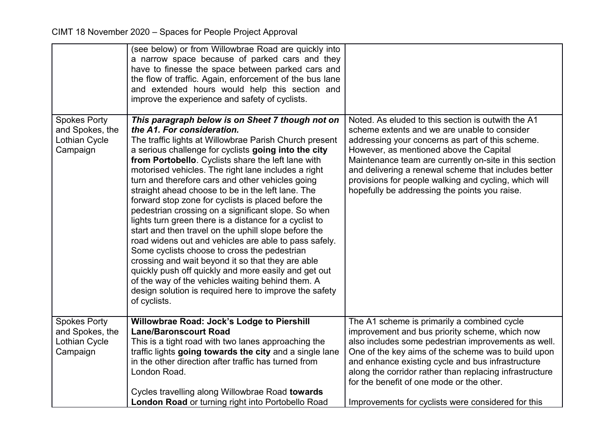|                                                                     | (see below) or from Willowbrae Road are quickly into<br>a narrow space because of parked cars and they<br>have to finesse the space between parked cars and<br>the flow of traffic. Again, enforcement of the bus lane<br>and extended hours would help this section and<br>improve the experience and safety of cyclists.                                                                                                                                                                                                                                                                                                                                                                                                                                                                                                                                                                                                                                                                                  |                                                                                                                                                                                                                                                                                                                                                                                                                               |
|---------------------------------------------------------------------|-------------------------------------------------------------------------------------------------------------------------------------------------------------------------------------------------------------------------------------------------------------------------------------------------------------------------------------------------------------------------------------------------------------------------------------------------------------------------------------------------------------------------------------------------------------------------------------------------------------------------------------------------------------------------------------------------------------------------------------------------------------------------------------------------------------------------------------------------------------------------------------------------------------------------------------------------------------------------------------------------------------|-------------------------------------------------------------------------------------------------------------------------------------------------------------------------------------------------------------------------------------------------------------------------------------------------------------------------------------------------------------------------------------------------------------------------------|
| <b>Spokes Porty</b><br>and Spokes, the<br>Lothian Cycle<br>Campaign | This paragraph below is on Sheet 7 though not on<br>the A1. For consideration.<br>The traffic lights at Willowbrae Parish Church present<br>a serious challenge for cyclists going into the city<br>from Portobello. Cyclists share the left lane with<br>motorised vehicles. The right lane includes a right<br>turn and therefore cars and other vehicles going<br>straight ahead choose to be in the left lane. The<br>forward stop zone for cyclists is placed before the<br>pedestrian crossing on a significant slope. So when<br>lights turn green there is a distance for a cyclist to<br>start and then travel on the uphill slope before the<br>road widens out and vehicles are able to pass safely.<br>Some cyclists choose to cross the pedestrian<br>crossing and wait beyond it so that they are able<br>quickly push off quickly and more easily and get out<br>of the way of the vehicles waiting behind them. A<br>design solution is required here to improve the safety<br>of cyclists. | Noted. As eluded to this section is outwith the A1<br>scheme extents and we are unable to consider<br>addressing your concerns as part of this scheme.<br>However, as mentioned above the Capital<br>Maintenance team are currently on-site in this section<br>and delivering a renewal scheme that includes better<br>provisions for people walking and cycling, which will<br>hopefully be addressing the points you raise. |
| <b>Spokes Porty</b><br>and Spokes, the<br>Lothian Cycle<br>Campaign | Willowbrae Road: Jock's Lodge to Piershill<br><b>Lane/Baronscourt Road</b><br>This is a tight road with two lanes approaching the<br>traffic lights going towards the city and a single lane<br>in the other direction after traffic has turned from<br>London Road.<br>Cycles travelling along Willowbrae Road towards                                                                                                                                                                                                                                                                                                                                                                                                                                                                                                                                                                                                                                                                                     | The A1 scheme is primarily a combined cycle<br>improvement and bus priority scheme, which now<br>also includes some pedestrian improvements as well.<br>One of the key aims of the scheme was to build upon<br>and enhance existing cycle and bus infrastructure<br>along the corridor rather than replacing infrastructure<br>for the benefit of one mode or the other.                                                      |
|                                                                     | London Road or turning right into Portobello Road                                                                                                                                                                                                                                                                                                                                                                                                                                                                                                                                                                                                                                                                                                                                                                                                                                                                                                                                                           | Improvements for cyclists were considered for this                                                                                                                                                                                                                                                                                                                                                                            |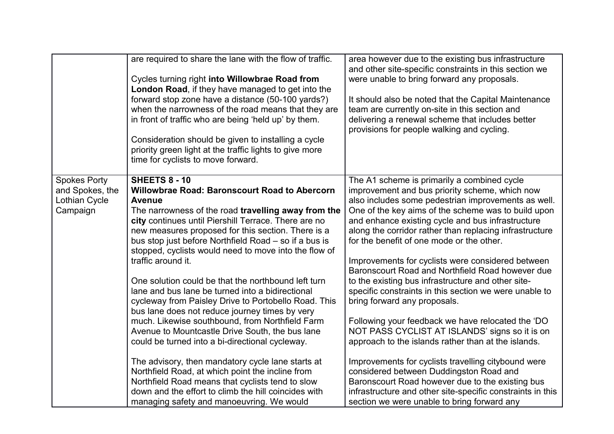|                                                                     | are required to share the lane with the flow of traffic.<br>Cycles turning right into Willowbrae Road from<br>London Road, if they have managed to get into the<br>forward stop zone have a distance (50-100 yards?)<br>when the narrowness of the road means that they are<br>in front of traffic who are being 'held up' by them.<br>Consideration should be given to installing a cycle<br>priority green light at the traffic lights to give more<br>time for cyclists to move forward.                                                                                                                                                                                                                                                                                                                                                                                                                                                                                                                                                                | area however due to the existing bus infrastructure<br>and other site-specific constraints in this section we<br>were unable to bring forward any proposals.<br>It should also be noted that the Capital Maintenance<br>team are currently on-site in this section and<br>delivering a renewal scheme that includes better<br>provisions for people walking and cycling.                                                                                                                                                                                                                                                                                                                                                                                                                                                                                                                                                                                                                                                                                           |
|---------------------------------------------------------------------|------------------------------------------------------------------------------------------------------------------------------------------------------------------------------------------------------------------------------------------------------------------------------------------------------------------------------------------------------------------------------------------------------------------------------------------------------------------------------------------------------------------------------------------------------------------------------------------------------------------------------------------------------------------------------------------------------------------------------------------------------------------------------------------------------------------------------------------------------------------------------------------------------------------------------------------------------------------------------------------------------------------------------------------------------------|--------------------------------------------------------------------------------------------------------------------------------------------------------------------------------------------------------------------------------------------------------------------------------------------------------------------------------------------------------------------------------------------------------------------------------------------------------------------------------------------------------------------------------------------------------------------------------------------------------------------------------------------------------------------------------------------------------------------------------------------------------------------------------------------------------------------------------------------------------------------------------------------------------------------------------------------------------------------------------------------------------------------------------------------------------------------|
| <b>Spokes Porty</b><br>and Spokes, the<br>Lothian Cycle<br>Campaign | <b>SHEETS 8 - 10</b><br><b>Willowbrae Road: Baronscourt Road to Abercorn</b><br><b>Avenue</b><br>The narrowness of the road travelling away from the<br>city continues until Piershill Terrace. There are no<br>new measures proposed for this section. There is a<br>bus stop just before Northfield Road - so if a bus is<br>stopped, cyclists would need to move into the flow of<br>traffic around it.<br>One solution could be that the northbound left turn<br>lane and bus lane be turned into a bidirectional<br>cycleway from Paisley Drive to Portobello Road. This<br>bus lane does not reduce journey times by very<br>much. Likewise southbound, from Northfield Farm<br>Avenue to Mountcastle Drive South, the bus lane<br>could be turned into a bi-directional cycleway.<br>The advisory, then mandatory cycle lane starts at<br>Northfield Road, at which point the incline from<br>Northfield Road means that cyclists tend to slow<br>down and the effort to climb the hill coincides with<br>managing safety and manoeuvring. We would | The A1 scheme is primarily a combined cycle<br>improvement and bus priority scheme, which now<br>also includes some pedestrian improvements as well.<br>One of the key aims of the scheme was to build upon<br>and enhance existing cycle and bus infrastructure<br>along the corridor rather than replacing infrastructure<br>for the benefit of one mode or the other.<br>Improvements for cyclists were considered between<br>Baronscourt Road and Northfield Road however due<br>to the existing bus infrastructure and other site-<br>specific constraints in this section we were unable to<br>bring forward any proposals.<br>Following your feedback we have relocated the 'DO<br>NOT PASS CYCLIST AT ISLANDS' signs so it is on<br>approach to the islands rather than at the islands.<br>Improvements for cyclists travelling citybound were<br>considered between Duddingston Road and<br>Baronscourt Road however due to the existing bus<br>infrastructure and other site-specific constraints in this<br>section we were unable to bring forward any |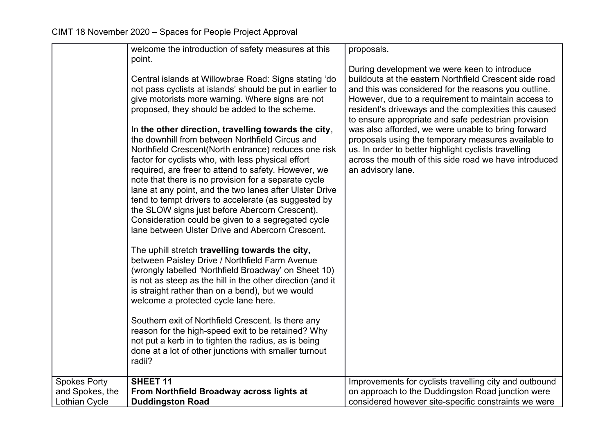|                                        | welcome the introduction of safety measures at this<br>point.<br>Central islands at Willowbrae Road: Signs stating 'do<br>not pass cyclists at islands' should be put in earlier to<br>give motorists more warning. Where signs are not<br>proposed, they should be added to the scheme.<br>In the other direction, travelling towards the city,<br>the downhill from between Northfield Circus and<br>Northfield Crescent(North entrance) reduces one risk<br>factor for cyclists who, with less physical effort<br>required, are freer to attend to safety. However, we<br>note that there is no provision for a separate cycle<br>lane at any point, and the two lanes after Ulster Drive<br>tend to tempt drivers to accelerate (as suggested by<br>the SLOW signs just before Abercorn Crescent).<br>Consideration could be given to a segregated cycle<br>lane between Ulster Drive and Abercorn Crescent.<br>The uphill stretch travelling towards the city,<br>between Paisley Drive / Northfield Farm Avenue<br>(wrongly labelled 'Northfield Broadway' on Sheet 10)<br>is not as steep as the hill in the other direction (and it<br>is straight rather than on a bend), but we would<br>welcome a protected cycle lane here.<br>Southern exit of Northfield Crescent. Is there any<br>reason for the high-speed exit to be retained? Why<br>not put a kerb in to tighten the radius, as is being | proposals.<br>During development we were keen to introduce<br>buildouts at the eastern Northfield Crescent side road<br>and this was considered for the reasons you outline.<br>However, due to a requirement to maintain access to<br>resident's driveways and the complexities this caused<br>to ensure appropriate and safe pedestrian provision<br>was also afforded, we were unable to bring forward<br>proposals using the temporary measures available to<br>us. In order to better highlight cyclists travelling<br>across the mouth of this side road we have introduced<br>an advisory lane. |
|----------------------------------------|-------------------------------------------------------------------------------------------------------------------------------------------------------------------------------------------------------------------------------------------------------------------------------------------------------------------------------------------------------------------------------------------------------------------------------------------------------------------------------------------------------------------------------------------------------------------------------------------------------------------------------------------------------------------------------------------------------------------------------------------------------------------------------------------------------------------------------------------------------------------------------------------------------------------------------------------------------------------------------------------------------------------------------------------------------------------------------------------------------------------------------------------------------------------------------------------------------------------------------------------------------------------------------------------------------------------------------------------------------------------------------------------------------------|--------------------------------------------------------------------------------------------------------------------------------------------------------------------------------------------------------------------------------------------------------------------------------------------------------------------------------------------------------------------------------------------------------------------------------------------------------------------------------------------------------------------------------------------------------------------------------------------------------|
|                                        | done at a lot of other junctions with smaller turnout<br>radii?                                                                                                                                                                                                                                                                                                                                                                                                                                                                                                                                                                                                                                                                                                                                                                                                                                                                                                                                                                                                                                                                                                                                                                                                                                                                                                                                             |                                                                                                                                                                                                                                                                                                                                                                                                                                                                                                                                                                                                        |
| <b>Spokes Porty</b><br>and Spokes, the | <b>SHEET 11</b><br>From Northfield Broadway across lights at                                                                                                                                                                                                                                                                                                                                                                                                                                                                                                                                                                                                                                                                                                                                                                                                                                                                                                                                                                                                                                                                                                                                                                                                                                                                                                                                                | Improvements for cyclists travelling city and outbound<br>on approach to the Duddingston Road junction were                                                                                                                                                                                                                                                                                                                                                                                                                                                                                            |
| <b>Lothian Cycle</b>                   | <b>Duddingston Road</b>                                                                                                                                                                                                                                                                                                                                                                                                                                                                                                                                                                                                                                                                                                                                                                                                                                                                                                                                                                                                                                                                                                                                                                                                                                                                                                                                                                                     | considered however site-specific constraints we were                                                                                                                                                                                                                                                                                                                                                                                                                                                                                                                                                   |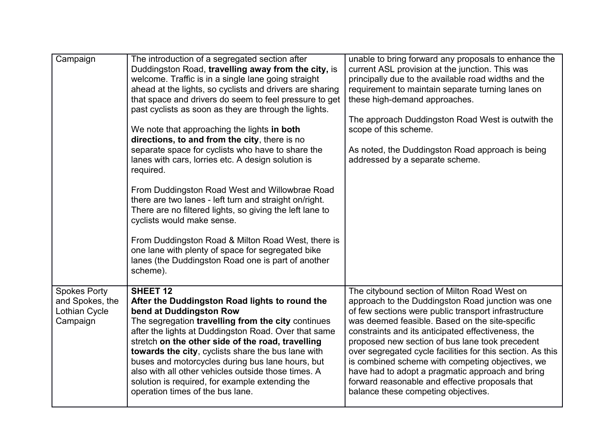| Campaign                                                            | The introduction of a segregated section after<br>Duddingston Road, travelling away from the city, is<br>welcome. Traffic is in a single lane going straight<br>ahead at the lights, so cyclists and drivers are sharing<br>that space and drivers do seem to feel pressure to get<br>past cyclists as soon as they are through the lights.<br>We note that approaching the lights in both<br>directions, to and from the city, there is no<br>separate space for cyclists who have to share the<br>lanes with cars, lorries etc. A design solution is<br>required.<br>From Duddingston Road West and Willowbrae Road<br>there are two lanes - left turn and straight on/right.<br>There are no filtered lights, so giving the left lane to<br>cyclists would make sense.<br>From Duddingston Road & Milton Road West, there is<br>one lane with plenty of space for segregated bike<br>lanes (the Duddingston Road one is part of another<br>scheme). | unable to bring forward any proposals to enhance the<br>current ASL provision at the junction. This was<br>principally due to the available road widths and the<br>requirement to maintain separate turning lanes on<br>these high-demand approaches.<br>The approach Duddingston Road West is outwith the<br>scope of this scheme.<br>As noted, the Duddingston Road approach is being<br>addressed by a separate scheme.                                                                                                                                                            |
|---------------------------------------------------------------------|--------------------------------------------------------------------------------------------------------------------------------------------------------------------------------------------------------------------------------------------------------------------------------------------------------------------------------------------------------------------------------------------------------------------------------------------------------------------------------------------------------------------------------------------------------------------------------------------------------------------------------------------------------------------------------------------------------------------------------------------------------------------------------------------------------------------------------------------------------------------------------------------------------------------------------------------------------|---------------------------------------------------------------------------------------------------------------------------------------------------------------------------------------------------------------------------------------------------------------------------------------------------------------------------------------------------------------------------------------------------------------------------------------------------------------------------------------------------------------------------------------------------------------------------------------|
| <b>Spokes Porty</b><br>and Spokes, the<br>Lothian Cycle<br>Campaign | <b>SHEET 12</b><br>After the Duddingston Road lights to round the<br>bend at Duddingston Row<br>The segregation travelling from the city continues<br>after the lights at Duddingston Road. Over that same<br>stretch on the other side of the road, travelling<br>towards the city, cyclists share the bus lane with<br>buses and motorcycles during bus lane hours, but<br>also with all other vehicles outside those times. A<br>solution is required, for example extending the<br>operation times of the bus lane.                                                                                                                                                                                                                                                                                                                                                                                                                                | The citybound section of Milton Road West on<br>approach to the Duddingston Road junction was one<br>of few sections were public transport infrastructure<br>was deemed feasible. Based on the site-specific<br>constraints and its anticipated effectiveness, the<br>proposed new section of bus lane took precedent<br>over segregated cycle facilities for this section. As this<br>is combined scheme with competing objectives, we<br>have had to adopt a pragmatic approach and bring<br>forward reasonable and effective proposals that<br>balance these competing objectives. |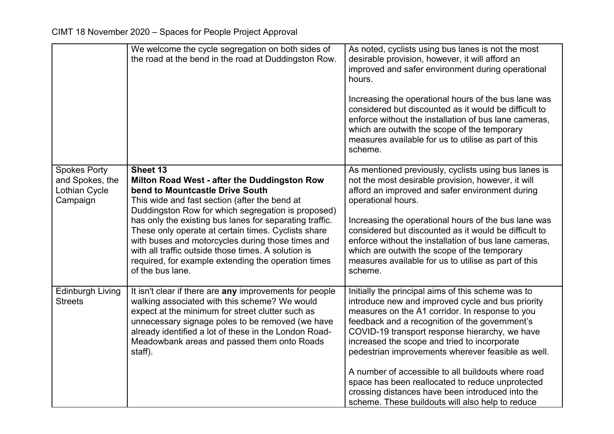|                                                                            | We welcome the cycle segregation on both sides of<br>the road at the bend in the road at Duddingston Row.                                                                                                                                                                                                                                                                                                                                                                                                   | As noted, cyclists using bus lanes is not the most<br>desirable provision, however, it will afford an<br>improved and safer environment during operational<br>hours.<br>Increasing the operational hours of the bus lane was<br>considered but discounted as it would be difficult to<br>enforce without the installation of bus lane cameras,<br>which are outwith the scope of the temporary<br>measures available for us to utilise as part of this<br>scheme.                                                                                                                      |
|----------------------------------------------------------------------------|-------------------------------------------------------------------------------------------------------------------------------------------------------------------------------------------------------------------------------------------------------------------------------------------------------------------------------------------------------------------------------------------------------------------------------------------------------------------------------------------------------------|----------------------------------------------------------------------------------------------------------------------------------------------------------------------------------------------------------------------------------------------------------------------------------------------------------------------------------------------------------------------------------------------------------------------------------------------------------------------------------------------------------------------------------------------------------------------------------------|
| <b>Spokes Porty</b><br>and Spokes, the<br><b>Lothian Cycle</b><br>Campaign | Sheet 13<br>Milton Road West - after the Duddingston Row<br>bend to Mountcastle Drive South<br>This wide and fast section (after the bend at<br>Duddingston Row for which segregation is proposed)<br>has only the existing bus lanes for separating traffic.<br>These only operate at certain times. Cyclists share<br>with buses and motorcycles during those times and<br>with all traffic outside those times. A solution is<br>required, for example extending the operation times<br>of the bus lane. | As mentioned previously, cyclists using bus lanes is<br>not the most desirable provision, however, it will<br>afford an improved and safer environment during<br>operational hours.<br>Increasing the operational hours of the bus lane was<br>considered but discounted as it would be difficult to<br>enforce without the installation of bus lane cameras,<br>which are outwith the scope of the temporary<br>measures available for us to utilise as part of this<br>scheme.                                                                                                       |
| <b>Edinburgh Living</b><br><b>Streets</b>                                  | It isn't clear if there are any improvements for people<br>walking associated with this scheme? We would<br>expect at the minimum for street clutter such as<br>unnecessary signage poles to be removed (we have<br>already identified a lot of these in the London Road-<br>Meadowbank areas and passed them onto Roads<br>staff).                                                                                                                                                                         | Initially the principal aims of this scheme was to<br>introduce new and improved cycle and bus priority<br>measures on the A1 corridor. In response to you<br>feedback and a recognition of the government's<br>COVID-19 transport response hierarchy, we have<br>increased the scope and tried to incorporate<br>pedestrian improvements wherever feasible as well.<br>A number of accessible to all buildouts where road<br>space has been reallocated to reduce unprotected<br>crossing distances have been introduced into the<br>scheme. These buildouts will also help to reduce |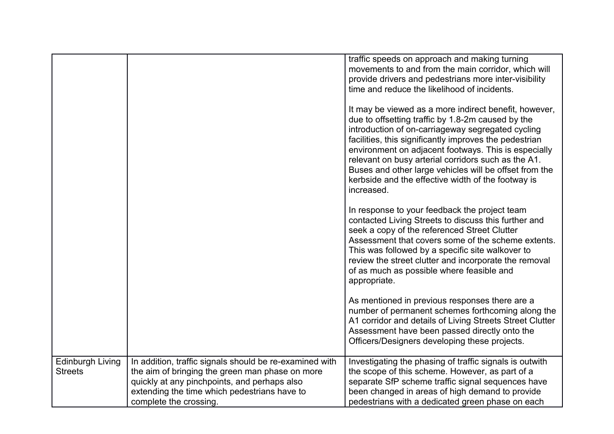|                                           |                                                                                                                                                                                                                                      | traffic speeds on approach and making turning<br>movements to and from the main corridor, which will<br>provide drivers and pedestrians more inter-visibility<br>time and reduce the likelihood of incidents.                                                                                                                                                                                                                                                          |
|-------------------------------------------|--------------------------------------------------------------------------------------------------------------------------------------------------------------------------------------------------------------------------------------|------------------------------------------------------------------------------------------------------------------------------------------------------------------------------------------------------------------------------------------------------------------------------------------------------------------------------------------------------------------------------------------------------------------------------------------------------------------------|
|                                           |                                                                                                                                                                                                                                      | It may be viewed as a more indirect benefit, however,<br>due to offsetting traffic by 1.8-2m caused by the<br>introduction of on-carriageway segregated cycling<br>facilities, this significantly improves the pedestrian<br>environment on adjacent footways. This is especially<br>relevant on busy arterial corridors such as the A1.<br>Buses and other large vehicles will be offset from the<br>kerbside and the effective width of the footway is<br>increased. |
|                                           |                                                                                                                                                                                                                                      | In response to your feedback the project team<br>contacted Living Streets to discuss this further and<br>seek a copy of the referenced Street Clutter<br>Assessment that covers some of the scheme extents.<br>This was followed by a specific site walkover to<br>review the street clutter and incorporate the removal<br>of as much as possible where feasible and<br>appropriate.                                                                                  |
|                                           |                                                                                                                                                                                                                                      | As mentioned in previous responses there are a<br>number of permanent schemes forthcoming along the<br>A1 corridor and details of Living Streets Street Clutter<br>Assessment have been passed directly onto the<br>Officers/Designers developing these projects.                                                                                                                                                                                                      |
| <b>Edinburgh Living</b><br><b>Streets</b> | In addition, traffic signals should be re-examined with<br>the aim of bringing the green man phase on more<br>quickly at any pinchpoints, and perhaps also<br>extending the time which pedestrians have to<br>complete the crossing. | Investigating the phasing of traffic signals is outwith<br>the scope of this scheme. However, as part of a<br>separate SfP scheme traffic signal sequences have<br>been changed in areas of high demand to provide<br>pedestrians with a dedicated green phase on each                                                                                                                                                                                                 |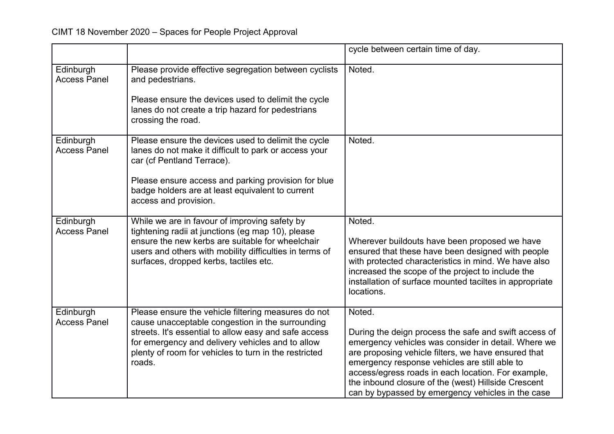|                                  |                                                                                                                                                                                                                                                                                         | cycle between certain time of day.                                                                                                                                                                                                                                                                                                                                                               |
|----------------------------------|-----------------------------------------------------------------------------------------------------------------------------------------------------------------------------------------------------------------------------------------------------------------------------------------|--------------------------------------------------------------------------------------------------------------------------------------------------------------------------------------------------------------------------------------------------------------------------------------------------------------------------------------------------------------------------------------------------|
| Edinburgh<br><b>Access Panel</b> | Please provide effective segregation between cyclists<br>and pedestrians.                                                                                                                                                                                                               | Noted.                                                                                                                                                                                                                                                                                                                                                                                           |
|                                  | Please ensure the devices used to delimit the cycle<br>lanes do not create a trip hazard for pedestrians<br>crossing the road.                                                                                                                                                          |                                                                                                                                                                                                                                                                                                                                                                                                  |
| Edinburgh<br><b>Access Panel</b> | Please ensure the devices used to delimit the cycle<br>lanes do not make it difficult to park or access your<br>car (cf Pentland Terrace).                                                                                                                                              | Noted.                                                                                                                                                                                                                                                                                                                                                                                           |
|                                  | Please ensure access and parking provision for blue<br>badge holders are at least equivalent to current<br>access and provision.                                                                                                                                                        |                                                                                                                                                                                                                                                                                                                                                                                                  |
| Edinburgh<br><b>Access Panel</b> | While we are in favour of improving safety by<br>tightening radii at junctions (eg map 10), please<br>ensure the new kerbs are suitable for wheelchair<br>users and others with mobility difficulties in terms of<br>surfaces, dropped kerbs, tactiles etc.                             | Noted.<br>Wherever buildouts have been proposed we have<br>ensured that these have been designed with people<br>with protected characteristics in mind. We have also<br>increased the scope of the project to include the<br>installation of surface mounted taciltes in appropriate<br>locations.                                                                                               |
| Edinburgh<br><b>Access Panel</b> | Please ensure the vehicle filtering measures do not<br>cause unacceptable congestion in the surrounding<br>streets. It's essential to allow easy and safe access<br>for emergency and delivery vehicles and to allow<br>plenty of room for vehicles to turn in the restricted<br>roads. | Noted.<br>During the deign process the safe and swift access of<br>emergency vehicles was consider in detail. Where we<br>are proposing vehicle filters, we have ensured that<br>emergency response vehicles are still able to<br>access/egress roads in each location. For example,<br>the inbound closure of the (west) Hillside Crescent<br>can by bypassed by emergency vehicles in the case |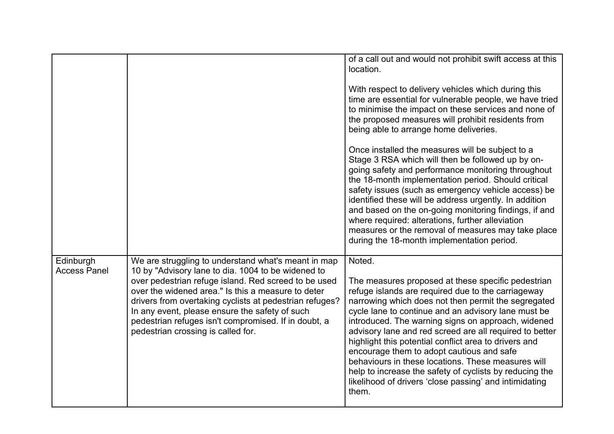|                                  |                                                                                                                                                                                                                                                                                                                                                                                                                                    | of a call out and would not prohibit swift access at this<br>location.<br>With respect to delivery vehicles which during this<br>time are essential for vulnerable people, we have tried                                                                                                                                                                                                                                                                                                                                                                                                                                                    |
|----------------------------------|------------------------------------------------------------------------------------------------------------------------------------------------------------------------------------------------------------------------------------------------------------------------------------------------------------------------------------------------------------------------------------------------------------------------------------|---------------------------------------------------------------------------------------------------------------------------------------------------------------------------------------------------------------------------------------------------------------------------------------------------------------------------------------------------------------------------------------------------------------------------------------------------------------------------------------------------------------------------------------------------------------------------------------------------------------------------------------------|
|                                  |                                                                                                                                                                                                                                                                                                                                                                                                                                    | to minimise the impact on these services and none of<br>the proposed measures will prohibit residents from<br>being able to arrange home deliveries.                                                                                                                                                                                                                                                                                                                                                                                                                                                                                        |
|                                  |                                                                                                                                                                                                                                                                                                                                                                                                                                    | Once installed the measures will be subject to a<br>Stage 3 RSA which will then be followed up by on-<br>going safety and performance monitoring throughout<br>the 18-month implementation period. Should critical<br>safety issues (such as emergency vehicle access) be<br>identified these will be address urgently. In addition<br>and based on the on-going monitoring findings, if and<br>where required: alterations, further alleviation<br>measures or the removal of measures may take place<br>during the 18-month implementation period.                                                                                        |
| Edinburgh<br><b>Access Panel</b> | We are struggling to understand what's meant in map<br>10 by "Advisory lane to dia. 1004 to be widened to<br>over pedestrian refuge island. Red screed to be used<br>over the widened area." Is this a measure to deter<br>drivers from overtaking cyclists at pedestrian refuges?<br>In any event, please ensure the safety of such<br>pedestrian refuges isn't compromised. If in doubt, a<br>pedestrian crossing is called for. | Noted.<br>The measures proposed at these specific pedestrian<br>refuge islands are required due to the carriageway<br>narrowing which does not then permit the segregated<br>cycle lane to continue and an advisory lane must be<br>introduced. The warning signs on approach, widened<br>advisory lane and red screed are all required to better<br>highlight this potential conflict area to drivers and<br>encourage them to adopt cautious and safe<br>behaviours in these locations. These measures will<br>help to increase the safety of cyclists by reducing the<br>likelihood of drivers 'close passing' and intimidating<br>them. |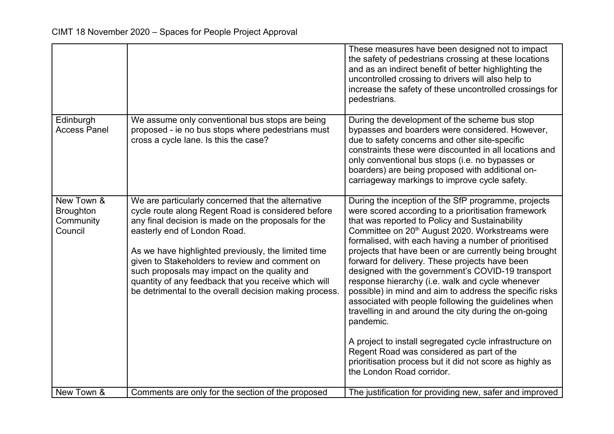|                                                        |                                                                                                                                                                                                                                                                                                                                                                                                                                                                            | These measures have been designed not to impact<br>the safety of pedestrians crossing at these locations<br>and as an indirect benefit of better highlighting the<br>uncontrolled crossing to drivers will also help to<br>increase the safety of these uncontrolled crossings for<br>pedestrians.                                                                                                                                                                                                                                                                                                                                                                                                                                                                                                                                                                                                 |
|--------------------------------------------------------|----------------------------------------------------------------------------------------------------------------------------------------------------------------------------------------------------------------------------------------------------------------------------------------------------------------------------------------------------------------------------------------------------------------------------------------------------------------------------|----------------------------------------------------------------------------------------------------------------------------------------------------------------------------------------------------------------------------------------------------------------------------------------------------------------------------------------------------------------------------------------------------------------------------------------------------------------------------------------------------------------------------------------------------------------------------------------------------------------------------------------------------------------------------------------------------------------------------------------------------------------------------------------------------------------------------------------------------------------------------------------------------|
| Edinburgh<br><b>Access Panel</b>                       | We assume only conventional bus stops are being<br>proposed - ie no bus stops where pedestrians must<br>cross a cycle lane. Is this the case?                                                                                                                                                                                                                                                                                                                              | During the development of the scheme bus stop<br>bypasses and boarders were considered. However,<br>due to safety concerns and other site-specific<br>constraints these were discounted in all locations and<br>only conventional bus stops (i.e. no bypasses or<br>boarders) are being proposed with additional on-<br>carriageway markings to improve cycle safety.                                                                                                                                                                                                                                                                                                                                                                                                                                                                                                                              |
| New Town &<br><b>Broughton</b><br>Community<br>Council | We are particularly concerned that the alternative<br>cycle route along Regent Road is considered before<br>any final decision is made on the proposals for the<br>easterly end of London Road.<br>As we have highlighted previously, the limited time<br>given to Stakeholders to review and comment on<br>such proposals may impact on the quality and<br>quantity of any feedback that you receive which will<br>be detrimental to the overall decision making process. | During the inception of the SfP programme, projects<br>were scored according to a prioritisation framework<br>that was reported to Policy and Sustainability<br>Committee on 20 <sup>th</sup> August 2020. Workstreams were<br>formalised, with each having a number of prioritised<br>projects that have been or are currently being brought<br>forward for delivery. These projects have been<br>designed with the government's COVID-19 transport<br>response hierarchy (i.e. walk and cycle whenever<br>possible) in mind and aim to address the specific risks<br>associated with people following the guidelines when<br>travelling in and around the city during the on-going<br>pandemic.<br>A project to install segregated cycle infrastructure on<br>Regent Road was considered as part of the<br>prioritisation process but it did not score as highly as<br>the London Road corridor. |
| New Town &                                             | Comments are only for the section of the proposed                                                                                                                                                                                                                                                                                                                                                                                                                          | The justification for providing new, safer and improved                                                                                                                                                                                                                                                                                                                                                                                                                                                                                                                                                                                                                                                                                                                                                                                                                                            |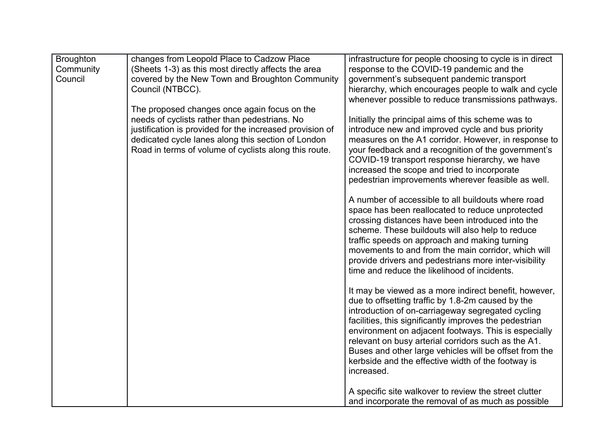| <b>Broughton</b><br>Community<br>Council | changes from Leopold Place to Cadzow Place<br>(Sheets 1-3) as this most directly affects the area<br>covered by the New Town and Broughton Community<br>Council (NTBCC).                                                                                                 | infrastructure for people choosing to cycle is in direct<br>response to the COVID-19 pandemic and the<br>government's subsequent pandemic transport<br>hierarchy, which encourages people to walk and cycle                                                                                                                                                                                                                                                                           |
|------------------------------------------|--------------------------------------------------------------------------------------------------------------------------------------------------------------------------------------------------------------------------------------------------------------------------|---------------------------------------------------------------------------------------------------------------------------------------------------------------------------------------------------------------------------------------------------------------------------------------------------------------------------------------------------------------------------------------------------------------------------------------------------------------------------------------|
|                                          | The proposed changes once again focus on the<br>needs of cyclists rather than pedestrians. No<br>justification is provided for the increased provision of<br>dedicated cycle lanes along this section of London<br>Road in terms of volume of cyclists along this route. | whenever possible to reduce transmissions pathways.<br>Initially the principal aims of this scheme was to<br>introduce new and improved cycle and bus priority<br>measures on the A1 corridor. However, in response to<br>your feedback and a recognition of the government's<br>COVID-19 transport response hierarchy, we have<br>increased the scope and tried to incorporate                                                                                                       |
|                                          |                                                                                                                                                                                                                                                                          | pedestrian improvements wherever feasible as well.<br>A number of accessible to all buildouts where road<br>space has been reallocated to reduce unprotected<br>crossing distances have been introduced into the<br>scheme. These buildouts will also help to reduce<br>traffic speeds on approach and making turning<br>movements to and from the main corridor, which will<br>provide drivers and pedestrians more inter-visibility<br>time and reduce the likelihood of incidents. |
|                                          |                                                                                                                                                                                                                                                                          | It may be viewed as a more indirect benefit, however,<br>due to offsetting traffic by 1.8-2m caused by the<br>introduction of on-carriageway segregated cycling<br>facilities, this significantly improves the pedestrian<br>environment on adjacent footways. This is especially<br>relevant on busy arterial corridors such as the A1.<br>Buses and other large vehicles will be offset from the<br>kerbside and the effective width of the footway is<br>increased.                |
|                                          |                                                                                                                                                                                                                                                                          | A specific site walkover to review the street clutter<br>and incorporate the removal of as much as possible                                                                                                                                                                                                                                                                                                                                                                           |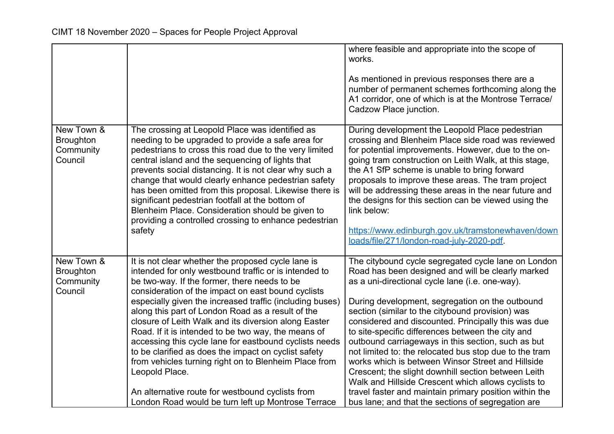|                                                        |                                                                                                                                                                                                                                                                                                                                                                                                                                                                                                                                                                                                                                                                                                                                                          | where feasible and appropriate into the scope of<br>works.<br>As mentioned in previous responses there are a<br>number of permanent schemes forthcoming along the<br>A1 corridor, one of which is at the Montrose Terrace/<br>Cadzow Place junction.                                                                                                                                                                                                                                                                                                                                                                                                                                                                                                                              |
|--------------------------------------------------------|----------------------------------------------------------------------------------------------------------------------------------------------------------------------------------------------------------------------------------------------------------------------------------------------------------------------------------------------------------------------------------------------------------------------------------------------------------------------------------------------------------------------------------------------------------------------------------------------------------------------------------------------------------------------------------------------------------------------------------------------------------|-----------------------------------------------------------------------------------------------------------------------------------------------------------------------------------------------------------------------------------------------------------------------------------------------------------------------------------------------------------------------------------------------------------------------------------------------------------------------------------------------------------------------------------------------------------------------------------------------------------------------------------------------------------------------------------------------------------------------------------------------------------------------------------|
| New Town &<br><b>Broughton</b><br>Community<br>Council | The crossing at Leopold Place was identified as<br>needing to be upgraded to provide a safe area for<br>pedestrians to cross this road due to the very limited<br>central island and the sequencing of lights that<br>prevents social distancing. It is not clear why such a<br>change that would clearly enhance pedestrian safety<br>has been omitted from this proposal. Likewise there is<br>significant pedestrian footfall at the bottom of<br>Blenheim Place. Consideration should be given to<br>providing a controlled crossing to enhance pedestrian<br>safety                                                                                                                                                                                 | During development the Leopold Place pedestrian<br>crossing and Blenheim Place side road was reviewed<br>for potential improvements. However, due to the on-<br>going tram construction on Leith Walk, at this stage,<br>the A1 SfP scheme is unable to bring forward<br>proposals to improve these areas. The tram project<br>will be addressing these areas in the near future and<br>the designs for this section can be viewed using the<br>link below:<br>https://www.edinburgh.gov.uk/tramstonewhaven/down<br>loads/file/271/london-road-july-2020-pdf                                                                                                                                                                                                                      |
| New Town &<br><b>Broughton</b><br>Community<br>Council | It is not clear whether the proposed cycle lane is<br>intended for only westbound traffic or is intended to<br>be two-way. If the former, there needs to be<br>consideration of the impact on east bound cyclists<br>especially given the increased traffic (including buses)<br>along this part of London Road as a result of the<br>closure of Leith Walk and its diversion along Easter<br>Road. If it is intended to be two way, the means of<br>accessing this cycle lane for eastbound cyclists needs<br>to be clarified as does the impact on cyclist safety<br>from vehicles turning right on to Blenheim Place from<br>Leopold Place.<br>An alternative route for westbound cyclists from<br>London Road would be turn left up Montrose Terrace | The citybound cycle segregated cycle lane on London<br>Road has been designed and will be clearly marked<br>as a uni-directional cycle lane (i.e. one-way).<br>During development, segregation on the outbound<br>section (similar to the citybound provision) was<br>considered and discounted. Principally this was due<br>to site-specific differences between the city and<br>outbound carriageways in this section, such as but<br>not limited to: the relocated bus stop due to the tram<br>works which is between Winsor Street and Hillside<br>Crescent; the slight downhill section between Leith<br>Walk and Hillside Crescent which allows cyclists to<br>travel faster and maintain primary position within the<br>bus lane; and that the sections of segregation are |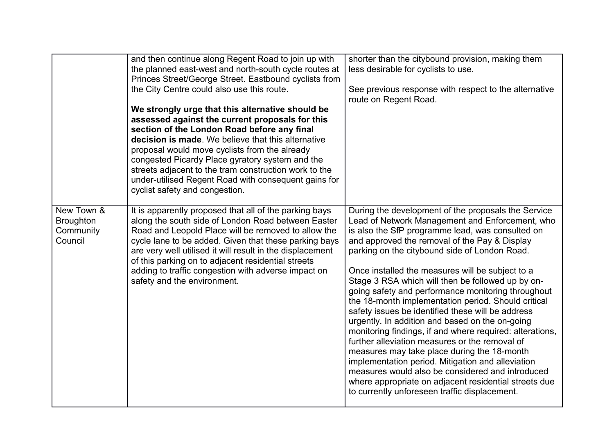|                                                        | and then continue along Regent Road to join up with<br>the planned east-west and north-south cycle routes at<br>Princes Street/George Street. Eastbound cyclists from<br>the City Centre could also use this route.<br>We strongly urge that this alternative should be<br>assessed against the current proposals for this<br>section of the London Road before any final<br>decision is made. We believe that this alternative<br>proposal would move cyclists from the already<br>congested Picardy Place gyratory system and the<br>streets adjacent to the tram construction work to the<br>under-utilised Regent Road with consequent gains for<br>cyclist safety and congestion. | shorter than the citybound provision, making them<br>less desirable for cyclists to use.<br>See previous response with respect to the alternative<br>route on Regent Road.                                                                                                                                                                                                                                                                                                                                                                                                                                                                                                                                                                                                                                                                                                                                                                                                 |
|--------------------------------------------------------|----------------------------------------------------------------------------------------------------------------------------------------------------------------------------------------------------------------------------------------------------------------------------------------------------------------------------------------------------------------------------------------------------------------------------------------------------------------------------------------------------------------------------------------------------------------------------------------------------------------------------------------------------------------------------------------|----------------------------------------------------------------------------------------------------------------------------------------------------------------------------------------------------------------------------------------------------------------------------------------------------------------------------------------------------------------------------------------------------------------------------------------------------------------------------------------------------------------------------------------------------------------------------------------------------------------------------------------------------------------------------------------------------------------------------------------------------------------------------------------------------------------------------------------------------------------------------------------------------------------------------------------------------------------------------|
| New Town &<br><b>Broughton</b><br>Community<br>Council | It is apparently proposed that all of the parking bays<br>along the south side of London Road between Easter<br>Road and Leopold Place will be removed to allow the<br>cycle lane to be added. Given that these parking bays<br>are very well utilised it will result in the displacement<br>of this parking on to adjacent residential streets<br>adding to traffic congestion with adverse impact on<br>safety and the environment.                                                                                                                                                                                                                                                  | During the development of the proposals the Service<br>Lead of Network Management and Enforcement, who<br>is also the SfP programme lead, was consulted on<br>and approved the removal of the Pay & Display<br>parking on the citybound side of London Road.<br>Once installed the measures will be subject to a<br>Stage 3 RSA which will then be followed up by on-<br>going safety and performance monitoring throughout<br>the 18-month implementation period. Should critical<br>safety issues be identified these will be address<br>urgently. In addition and based on the on-going<br>monitoring findings, if and where required: alterations,<br>further alleviation measures or the removal of<br>measures may take place during the 18-month<br>implementation period. Mitigation and alleviation<br>measures would also be considered and introduced<br>where appropriate on adjacent residential streets due<br>to currently unforeseen traffic displacement. |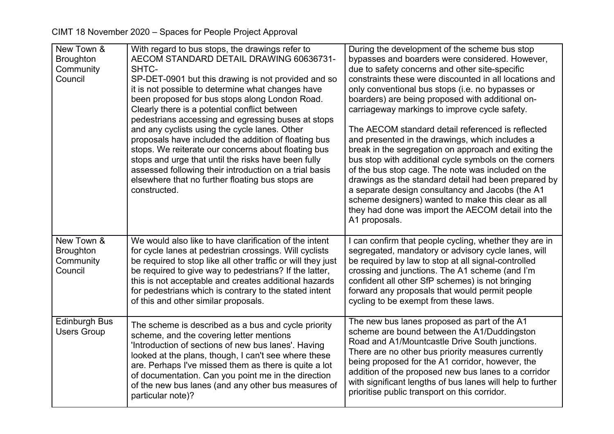| New Town &<br><b>Broughton</b><br>Community<br>Council | With regard to bus stops, the drawings refer to<br>AECOM STANDARD DETAIL DRAWING 60636731-<br>SHTC-<br>SP-DET-0901 but this drawing is not provided and so<br>it is not possible to determine what changes have<br>been proposed for bus stops along London Road.<br>Clearly there is a potential conflict between<br>pedestrians accessing and egressing buses at stops<br>and any cyclists using the cycle lanes. Other<br>proposals have included the addition of floating bus<br>stops. We reiterate our concerns about floating bus<br>stops and urge that until the risks have been fully<br>assessed following their introduction on a trial basis<br>elsewhere that no further floating bus stops are<br>constructed. | During the development of the scheme bus stop<br>bypasses and boarders were considered. However,<br>due to safety concerns and other site-specific<br>constraints these were discounted in all locations and<br>only conventional bus stops (i.e. no bypasses or<br>boarders) are being proposed with additional on-<br>carriageway markings to improve cycle safety.<br>The AECOM standard detail referenced is reflected<br>and presented in the drawings, which includes a<br>break in the segregation on approach and exiting the<br>bus stop with additional cycle symbols on the corners<br>of the bus stop cage. The note was included on the<br>drawings as the standard detail had been prepared by<br>a separate design consultancy and Jacobs (the A1<br>scheme designers) wanted to make this clear as all<br>they had done was import the AECOM detail into the |
|--------------------------------------------------------|-------------------------------------------------------------------------------------------------------------------------------------------------------------------------------------------------------------------------------------------------------------------------------------------------------------------------------------------------------------------------------------------------------------------------------------------------------------------------------------------------------------------------------------------------------------------------------------------------------------------------------------------------------------------------------------------------------------------------------|------------------------------------------------------------------------------------------------------------------------------------------------------------------------------------------------------------------------------------------------------------------------------------------------------------------------------------------------------------------------------------------------------------------------------------------------------------------------------------------------------------------------------------------------------------------------------------------------------------------------------------------------------------------------------------------------------------------------------------------------------------------------------------------------------------------------------------------------------------------------------|
|                                                        |                                                                                                                                                                                                                                                                                                                                                                                                                                                                                                                                                                                                                                                                                                                               | A1 proposals.                                                                                                                                                                                                                                                                                                                                                                                                                                                                                                                                                                                                                                                                                                                                                                                                                                                                |
| New Town &<br><b>Broughton</b><br>Community<br>Council | We would also like to have clarification of the intent<br>for cycle lanes at pedestrian crossings. Will cyclists<br>be required to stop like all other traffic or will they just<br>be required to give way to pedestrians? If the latter,<br>this is not acceptable and creates additional hazards<br>for pedestrians which is contrary to the stated intent<br>of this and other similar proposals.                                                                                                                                                                                                                                                                                                                         | I can confirm that people cycling, whether they are in<br>segregated, mandatory or advisory cycle lanes, will<br>be required by law to stop at all signal-controlled<br>crossing and junctions. The A1 scheme (and I'm<br>confident all other SfP schemes) is not bringing<br>forward any proposals that would permit people<br>cycling to be exempt from these laws.                                                                                                                                                                                                                                                                                                                                                                                                                                                                                                        |
| <b>Edinburgh Bus</b><br><b>Users Group</b>             | The scheme is described as a bus and cycle priority<br>scheme, and the covering letter mentions<br>'Introduction of sections of new bus lanes'. Having<br>looked at the plans, though, I can't see where these<br>are. Perhaps I've missed them as there is quite a lot<br>of documentation. Can you point me in the direction<br>of the new bus lanes (and any other bus measures of<br>particular note)?                                                                                                                                                                                                                                                                                                                    | The new bus lanes proposed as part of the A1<br>scheme are bound between the A1/Duddingston<br>Road and A1/Mountcastle Drive South junctions.<br>There are no other bus priority measures currently<br>being proposed for the A1 corridor, however, the<br>addition of the proposed new bus lanes to a corridor<br>with significant lengths of bus lanes will help to further<br>prioritise public transport on this corridor.                                                                                                                                                                                                                                                                                                                                                                                                                                               |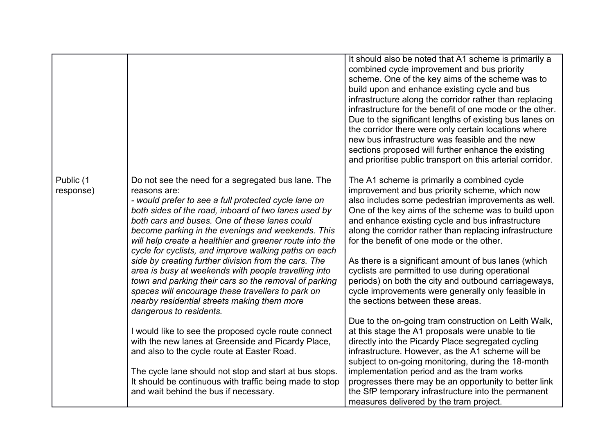|                        |                                                                                                                                                                                                                                                                                                                                                                                                              | It should also be noted that A1 scheme is primarily a<br>combined cycle improvement and bus priority<br>scheme. One of the key aims of the scheme was to<br>build upon and enhance existing cycle and bus<br>infrastructure along the corridor rather than replacing<br>infrastructure for the benefit of one mode or the other.<br>Due to the significant lengths of existing bus lanes on<br>the corridor there were only certain locations where<br>new bus infrastructure was feasible and the new<br>sections proposed will further enhance the existing<br>and prioritise public transport on this arterial corridor. |
|------------------------|--------------------------------------------------------------------------------------------------------------------------------------------------------------------------------------------------------------------------------------------------------------------------------------------------------------------------------------------------------------------------------------------------------------|-----------------------------------------------------------------------------------------------------------------------------------------------------------------------------------------------------------------------------------------------------------------------------------------------------------------------------------------------------------------------------------------------------------------------------------------------------------------------------------------------------------------------------------------------------------------------------------------------------------------------------|
| Public (1<br>response) | Do not see the need for a segregated bus lane. The<br>reasons are:<br>- would prefer to see a full protected cycle lane on<br>both sides of the road, inboard of two lanes used by<br>both cars and buses. One of these lanes could<br>become parking in the evenings and weekends. This<br>will help create a healthier and greener route into the<br>cycle for cyclists, and improve walking paths on each | The A1 scheme is primarily a combined cycle<br>improvement and bus priority scheme, which now<br>also includes some pedestrian improvements as well.<br>One of the key aims of the scheme was to build upon<br>and enhance existing cycle and bus infrastructure<br>along the corridor rather than replacing infrastructure<br>for the benefit of one mode or the other.                                                                                                                                                                                                                                                    |
|                        | side by creating further division from the cars. The<br>area is busy at weekends with people travelling into<br>town and parking their cars so the removal of parking<br>spaces will encourage these travellers to park on<br>nearby residential streets making them more<br>dangerous to residents.                                                                                                         | As there is a significant amount of bus lanes (which<br>cyclists are permitted to use during operational<br>periods) on both the city and outbound carriageways,<br>cycle improvements were generally only feasible in<br>the sections between these areas.                                                                                                                                                                                                                                                                                                                                                                 |
|                        | I would like to see the proposed cycle route connect<br>with the new lanes at Greenside and Picardy Place,<br>and also to the cycle route at Easter Road.                                                                                                                                                                                                                                                    | Due to the on-going tram construction on Leith Walk,<br>at this stage the A1 proposals were unable to tie<br>directly into the Picardy Place segregated cycling<br>infrastructure. However, as the A1 scheme will be<br>subject to on-going monitoring, during the 18-month                                                                                                                                                                                                                                                                                                                                                 |
|                        | The cycle lane should not stop and start at bus stops.<br>It should be continuous with traffic being made to stop<br>and wait behind the bus if necessary.                                                                                                                                                                                                                                                   | implementation period and as the tram works<br>progresses there may be an opportunity to better link<br>the SfP temporary infrastructure into the permanent<br>measures delivered by the tram project.                                                                                                                                                                                                                                                                                                                                                                                                                      |